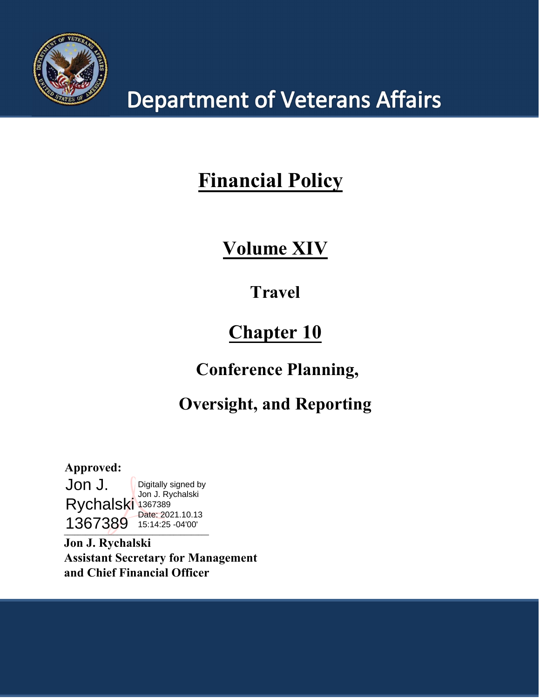

# **Department of Veterans Affairs**

# **Financial Policy**

# **Volume XIV**

# **Travel**

# **Chapter 10**

# **Conference Planning,**

# **Oversight, and Reporting**

 $\overline{a}$ **Approved:** Jon J. Rychalski 1367389 1367389 15:14:25 -04'00'Digitally signed by Jon J. Rychalski Date: 2021.10.13

**Jon J. Rychalski Assistant Secretary for Management and Chief Financial Officer**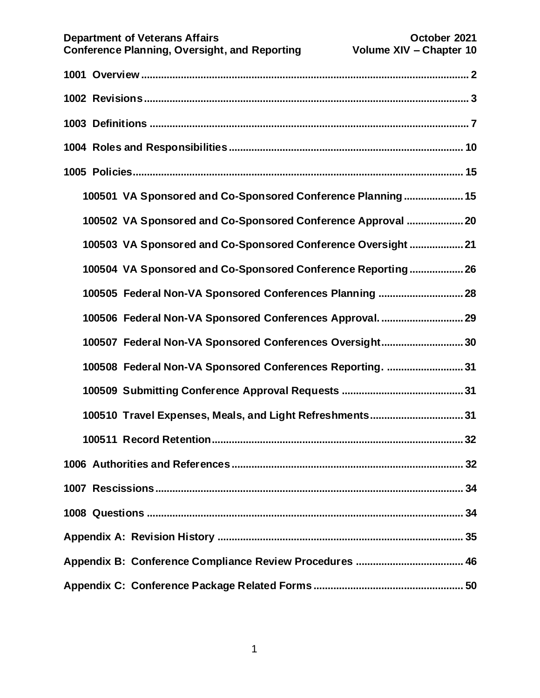|  | <b>Department of Veterans Affairs</b><br><b>Conference Planning, Oversight, and Reporting</b> | October 2021<br>Volume XIV - Chapter 10 |
|--|-----------------------------------------------------------------------------------------------|-----------------------------------------|
|  |                                                                                               |                                         |
|  |                                                                                               |                                         |
|  |                                                                                               |                                         |
|  |                                                                                               |                                         |
|  |                                                                                               |                                         |
|  | 100501 VA Sponsored and Co-Sponsored Conference Planning 15                                   |                                         |
|  | 100502 VA Sponsored and Co-Sponsored Conference Approval  20                                  |                                         |
|  | 100503 VA Sponsored and Co-Sponsored Conference Oversight21                                   |                                         |
|  | 100504 VA Sponsored and Co-Sponsored Conference Reporting 26                                  |                                         |
|  | 100505 Federal Non-VA Sponsored Conferences Planning  28                                      |                                         |
|  |                                                                                               |                                         |
|  | 100507 Federal Non-VA Sponsored Conferences Oversight 30                                      |                                         |
|  | 100508 Federal Non-VA Sponsored Conferences Reporting.  31                                    |                                         |
|  |                                                                                               |                                         |
|  | 100510 Travel Expenses, Meals, and Light Refreshments31                                       |                                         |
|  |                                                                                               |                                         |
|  |                                                                                               |                                         |
|  |                                                                                               |                                         |
|  |                                                                                               |                                         |
|  |                                                                                               |                                         |
|  |                                                                                               |                                         |
|  |                                                                                               |                                         |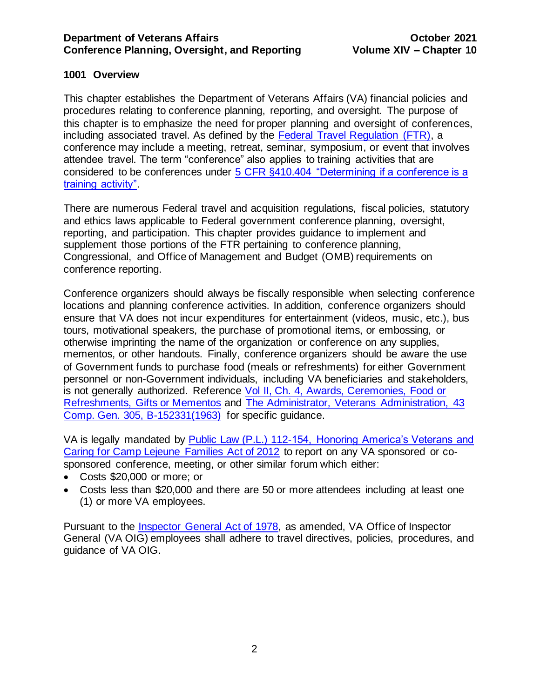# <span id="page-2-0"></span>**1001 Overview**

This chapter establishes the Department of Veterans Affairs (VA) financial policies and procedures relating to conference planning, reporting, and oversight. The purpose of this chapter is to emphasize the need for proper planning and oversight of conferences, including associated travel. As defined by the [Federal Travel Regulation \(FTR\),](http://gsa.gov/portal/ext/public/site/FTR/file/FTRTOC.html/category/21865/hostUri/portal) a conference may include a meeting, retreat, seminar, symposium, or event that involves attendee travel. The term "conference" also applies to training activities that are considered to be conferences under [5 CFR §410.404 "Determining if a conference is a](http://www.gpo.gov/fdsys/pkg/CFR-2012-title5-vol1/xml/CFR-2012-title5-vol1-sec410-404.xml)  [training activity".](http://www.gpo.gov/fdsys/pkg/CFR-2012-title5-vol1/xml/CFR-2012-title5-vol1-sec410-404.xml)

There are numerous Federal travel and acquisition regulations, fiscal policies, statutory and ethics laws applicable to Federal government conference planning, oversight, reporting, and participation. This chapter provides guidance to implement and supplement those portions of the FTR pertaining to conference planning, Congressional, and Office of Management and Budget (OMB) requirements on conference reporting.

Conference organizers should always be fiscally responsible when selecting conference locations and planning conference activities. In addition, conference organizers should ensure that VA does not incur expenditures for entertainment (videos, music, etc.), bus tours, motivational speakers, the purchase of promotional items, or embossing, or otherwise imprinting the name of the organization or conference on any supplies, mementos, or other handouts. Finally, conference organizers should be aware the use of Government funds to purchase food (meals or refreshments) for either Government personnel or non-Government individuals, including VA beneficiaries and stakeholders, is not generally authorized. Reference [Vol II, Ch. 4, Awards, Ceremonies, Food or](https://www.va.gov/finance/docs/VA-FinancialPolicyVolumeIIChapter04.pdf)  [Refreshments, Gifts or Mementos](https://www.va.gov/finance/docs/VA-FinancialPolicyVolumeIIChapter04.pdf) and [The Administrator, Veterans Administration, 43](https://www.gao.gov/products/445356)  [Comp. Gen. 305, B-152331\(1963\)](https://www.gao.gov/products/445356) for specific guidance.

VA is legally mandated by [Public Law \(P.L.\) 112-154, Honoring America's Veterans and](https://www.congress.gov/112/plaws/publ154/PLAW-112publ154.pdf)  [Caring for Camp Lejeune Families Act of 2012](https://www.congress.gov/112/plaws/publ154/PLAW-112publ154.pdf) to report on any VA sponsored or cosponsored conference, meeting, or other similar forum which either:

- Costs \$20,000 or more; or
- Costs less than \$20,000 and there are 50 or more attendees including at least one (1) or more VA employees.

Pursuant to the [Inspector General Act of 1978,](https://www.gpo.gov/fdsys/pkg/USCODE-2011-title5/pdf/USCODE-2011-title5-app-inspector.pdf) as amended, VA Office of Inspector General (VA OIG) employees shall adhere to travel directives, policies, procedures, and guidance of VA OIG.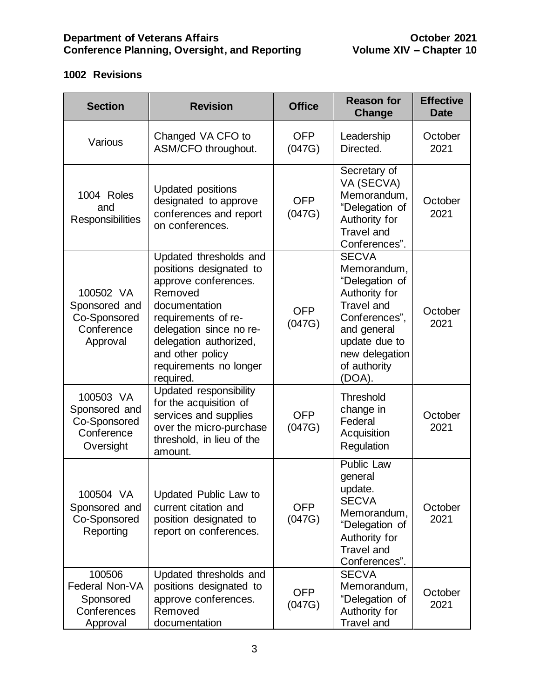# <span id="page-3-0"></span>**1002 Revisions**

| <b>Section</b>                                                        | <b>Revision</b>                                                                                                                                                                                                                              | <b>Office</b>        | <b>Reason for</b><br><b>Change</b>                                                                                                                                               | <b>Effective</b><br><b>Date</b> |
|-----------------------------------------------------------------------|----------------------------------------------------------------------------------------------------------------------------------------------------------------------------------------------------------------------------------------------|----------------------|----------------------------------------------------------------------------------------------------------------------------------------------------------------------------------|---------------------------------|
| Various                                                               | Changed VA CFO to<br>ASM/CFO throughout.                                                                                                                                                                                                     | <b>OFP</b><br>(047G) | Leadership<br>Directed.                                                                                                                                                          | October<br>2021                 |
| 1004 Roles<br>and<br><b>Responsibilities</b>                          | <b>Updated positions</b><br>designated to approve<br>conferences and report<br>on conferences.                                                                                                                                               | <b>OFP</b><br>(047G) | Secretary of<br>VA (SECVA)<br>Memorandum,<br>"Delegation of<br>Authority for<br><b>Travel and</b><br>Conferences".                                                               | October<br>2021                 |
| 100502 VA<br>Sponsored and<br>Co-Sponsored<br>Conference<br>Approval  | Updated thresholds and<br>positions designated to<br>approve conferences.<br>Removed<br>documentation<br>requirements of re-<br>delegation since no re-<br>delegation authorized,<br>and other policy<br>requirements no longer<br>required. | <b>OFP</b><br>(047G) | <b>SECVA</b><br>Memorandum,<br>"Delegation of<br>Authority for<br><b>Travel and</b><br>Conferences".<br>and general<br>update due to<br>new delegation<br>of authority<br>(DOA). | October<br>2021                 |
| 100503 VA<br>Sponsored and<br>Co-Sponsored<br>Conference<br>Oversight | Updated responsibility<br>for the acquisition of<br>services and supplies<br>over the micro-purchase<br>threshold, in lieu of the<br>amount.                                                                                                 | <b>OFP</b><br>(047G) | <b>Threshold</b><br>change in<br>Federal<br>Acquisition<br>Regulation                                                                                                            | October<br>2021                 |
| 100504 VA<br>Sponsored and<br>Co-Sponsored<br>Reporting               | Updated Public Law to<br>current citation and<br>position designated to<br>report on conferences.                                                                                                                                            | <b>OFP</b><br>(047G) | <b>Public Law</b><br>general<br>update.<br><b>SECVA</b><br>Memorandum,<br>"Delegation of<br>Authority for<br><b>Travel and</b><br>Conferences".                                  | October<br>2021                 |
| 100506<br>Federal Non-VA<br>Sponsored<br>Conferences<br>Approval      | Updated thresholds and<br>positions designated to<br>approve conferences.<br>Removed<br>documentation                                                                                                                                        | <b>OFP</b><br>(047G) | <b>SECVA</b><br>Memorandum,<br>"Delegation of<br>Authority for<br><b>Travel and</b>                                                                                              | October<br>2021                 |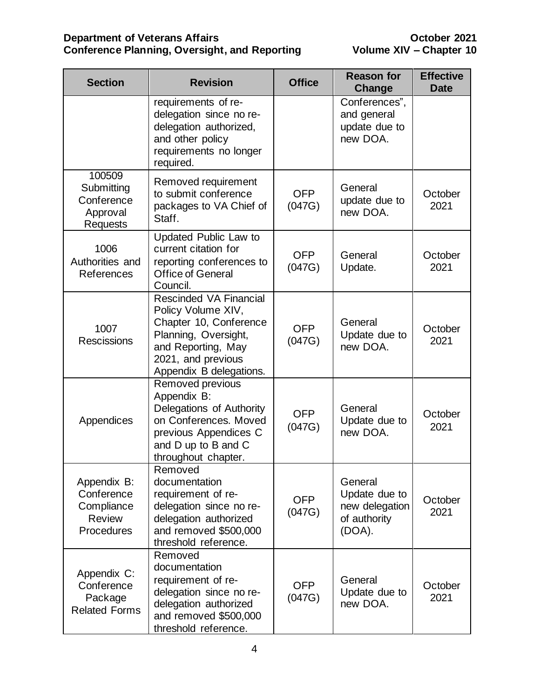| <b>Section</b>                                                         | <b>Revision</b>                                                                                                                                                       | <b>Office</b>        | <b>Reason for</b><br>Change                                          | <b>Effective</b><br><b>Date</b> |
|------------------------------------------------------------------------|-----------------------------------------------------------------------------------------------------------------------------------------------------------------------|----------------------|----------------------------------------------------------------------|---------------------------------|
|                                                                        | requirements of re-<br>delegation since no re-<br>delegation authorized,<br>and other policy<br>requirements no longer<br>required.                                   |                      | Conferences",<br>and general<br>update due to<br>new DOA.            |                                 |
| 100509<br>Submitting<br>Conference<br>Approval<br><b>Requests</b>      | Removed requirement<br>to submit conference<br>packages to VA Chief of<br>Staff.                                                                                      | <b>OFP</b><br>(047G) | General<br>update due to<br>new DOA.                                 | October<br>2021                 |
| 1006<br>Authorities and<br>References                                  | Updated Public Law to<br>current citation for<br>reporting conferences to<br><b>Office of General</b><br>Council.                                                     | <b>OFP</b><br>(047G) | General<br>Update.                                                   | October<br>2021                 |
| 1007<br><b>Rescissions</b>                                             | Rescinded VA Financial<br>Policy Volume XIV,<br>Chapter 10, Conference<br>Planning, Oversight,<br>and Reporting, May<br>2021, and previous<br>Appendix B delegations. | <b>OFP</b><br>(047G) | General<br>Update due to<br>new DOA.                                 | October<br>2021                 |
| Appendices                                                             | Removed previous<br>Appendix B:<br>Delegations of Authority<br>on Conferences. Moved<br>previous Appendices C<br>and D up to B and C<br>throughout chapter.           | <b>OFP</b><br>(047G) | General<br>Update due to<br>new DOA.                                 | October<br>2021                 |
| Appendix B:<br>Conference<br>Compliance<br><b>Review</b><br>Procedures | Removed<br>documentation<br>requirement of re-<br>delegation since no re-<br>delegation authorized<br>and removed \$500,000<br>threshold reference.                   | <b>OFP</b><br>(047G) | General<br>Update due to<br>new delegation<br>of authority<br>(DOA). | October<br>2021                 |
| Appendix C:<br>Conference<br>Package<br><b>Related Forms</b>           | Removed<br>documentation<br>requirement of re-<br>delegation since no re-<br>delegation authorized<br>and removed \$500,000<br>threshold reference.                   | <b>OFP</b><br>(047G) | General<br>Update due to<br>new DOA.                                 | October<br>2021                 |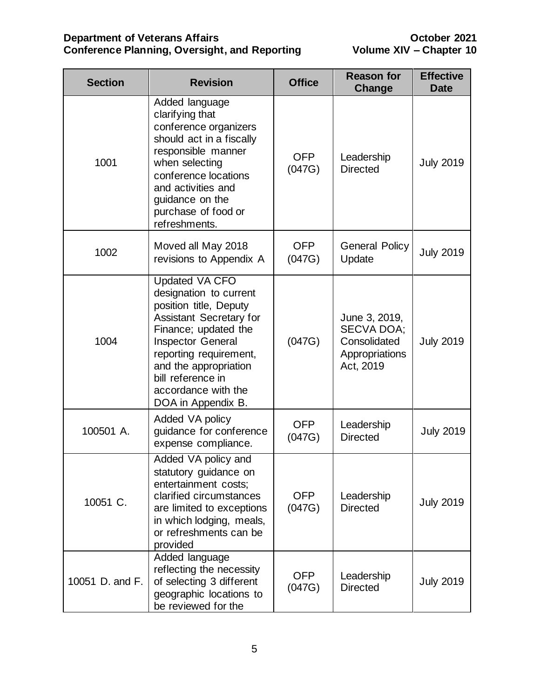| <b>Section</b>  | <b>Revision</b>                                                                                                                                                                                                                                                                      |                      | <b>Reason for</b><br><b>Change</b>                                                | <b>Effective</b><br><b>Date</b> |
|-----------------|--------------------------------------------------------------------------------------------------------------------------------------------------------------------------------------------------------------------------------------------------------------------------------------|----------------------|-----------------------------------------------------------------------------------|---------------------------------|
| 1001            | Added language<br>clarifying that<br>conference organizers<br>should act in a fiscally<br>responsible manner<br>when selecting<br>conference locations<br>and activities and<br>guidance on the<br>purchase of food or<br>refreshments.                                              | <b>OFP</b><br>(047G) | Leadership<br><b>Directed</b>                                                     | <b>July 2019</b>                |
| 1002            | Moved all May 2018<br>revisions to Appendix A                                                                                                                                                                                                                                        | <b>OFP</b><br>(047G) | <b>General Policy</b><br>Update                                                   | <b>July 2019</b>                |
| 1004            | <b>Updated VA CFO</b><br>designation to current<br>position title, Deputy<br><b>Assistant Secretary for</b><br>Finance; updated the<br><b>Inspector General</b><br>reporting requirement,<br>and the appropriation<br>bill reference in<br>accordance with the<br>DOA in Appendix B. | (047G)               | June 3, 2019,<br><b>SECVA DOA;</b><br>Consolidated<br>Appropriations<br>Act, 2019 | <b>July 2019</b>                |
| 100501 A.       | Added VA policy<br>guidance for conference<br>expense compliance.                                                                                                                                                                                                                    | <b>OFP</b><br>(047G) | Leadership<br><b>Directed</b>                                                     | <b>July 2019</b>                |
| 10051 C.        | Added VA policy and<br>statutory guidance on<br>entertainment costs;<br>clarified circumstances<br>are limited to exceptions<br>in which lodging, meals,<br>or refreshments can be<br>provided                                                                                       | <b>OFP</b><br>(047G) | Leadership<br><b>Directed</b>                                                     | <b>July 2019</b>                |
| 10051 D. and F. | Added language<br>reflecting the necessity<br>of selecting 3 different<br>geographic locations to<br>be reviewed for the                                                                                                                                                             | OFP<br>(047G)        | Leadership<br><b>Directed</b>                                                     | <b>July 2019</b>                |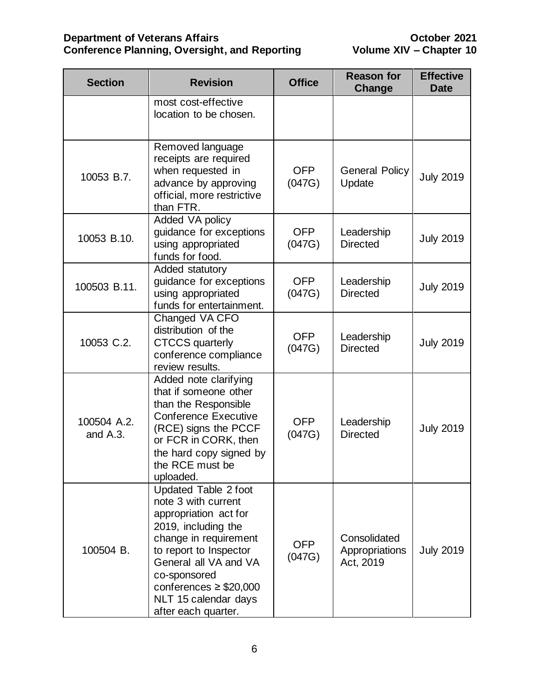| <b>Section</b>          | <b>Revision</b>                                                                                                                                                                                                                                                       |                      | <b>Reason for</b><br><b>Change</b>          | <b>Effective</b><br><b>Date</b> |
|-------------------------|-----------------------------------------------------------------------------------------------------------------------------------------------------------------------------------------------------------------------------------------------------------------------|----------------------|---------------------------------------------|---------------------------------|
|                         | most cost-effective<br>location to be chosen.                                                                                                                                                                                                                         |                      |                                             |                                 |
| 10053 B.7.              | Removed language<br>receipts are required<br>when requested in<br>advance by approving<br>official, more restrictive<br>than FTR.                                                                                                                                     | <b>OFP</b><br>(047G) | <b>General Policy</b><br>Update             | <b>July 2019</b>                |
| 10053 B.10.             | Added VA policy<br>guidance for exceptions<br>using appropriated<br>funds for food.                                                                                                                                                                                   | <b>OFP</b><br>(047G) | Leadership<br><b>Directed</b>               | <b>July 2019</b>                |
| 100503 B.11.            | Added statutory<br>guidance for exceptions<br>using appropriated<br>funds for entertainment.                                                                                                                                                                          | <b>OFP</b><br>(047G) | Leadership<br><b>Directed</b>               | <b>July 2019</b>                |
| 10053 C.2.              | Changed VA CFO<br>distribution of the<br><b>CTCCS</b> quarterly<br>conference compliance<br>review results.                                                                                                                                                           | <b>OFP</b><br>(047G) | Leadership<br><b>Directed</b>               | <b>July 2019</b>                |
| 100504 A.2.<br>and A.3. | Added note clarifying<br>that if someone other<br>than the Responsible<br><b>Conference Executive</b><br>(RCE) signs the PCCF<br>or FCR in CORK, then<br>the hard copy signed by<br>the RCE must be<br>uploaded.                                                      | <b>OFP</b><br>(047G) | Leadership<br><b>Directed</b>               | <b>July 2019</b>                |
| 100504 B.               | Updated Table 2 foot<br>note 3 with current<br>appropriation act for<br>2019, including the<br>change in requirement<br>to report to Inspector<br>General all VA and VA<br>co-sponsored<br>conferences $\geq$ \$20,000<br>NLT 15 calendar days<br>after each quarter. | OFP<br>(047G)        | Consolidated<br>Appropriations<br>Act, 2019 | <b>July 2019</b>                |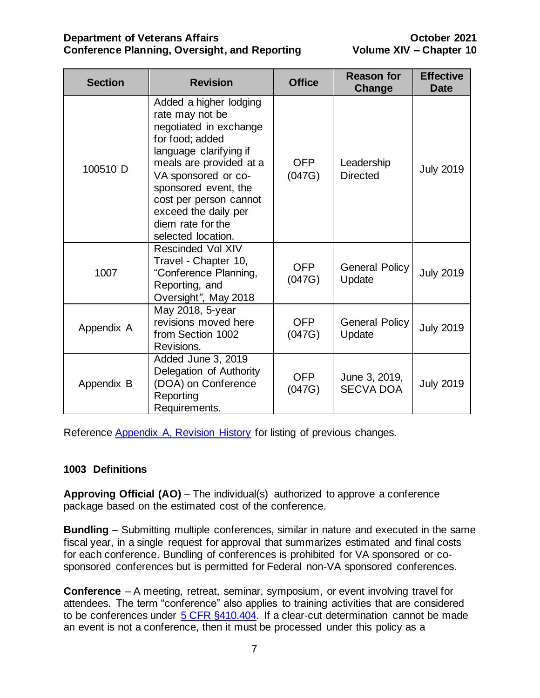| <b>Section</b> | <b>Revision</b>                                                                                                                                                                                                                                                                         | <b>Office</b>        | <b>Reason for</b><br>Change       | <b>Effective</b><br>Date |
|----------------|-----------------------------------------------------------------------------------------------------------------------------------------------------------------------------------------------------------------------------------------------------------------------------------------|----------------------|-----------------------------------|--------------------------|
| 100510 D       | Added a higher lodging<br>rate may not be<br>negotiated in exchange<br>for food; added<br>language clarifying if<br>meals are provided at a<br>VA sponsored or co-<br>sponsored event, the<br>cost per person cannot<br>exceed the daily per<br>diem rate for the<br>selected location. | <b>OFP</b><br>(047G) | Leadership<br><b>Directed</b>     | <b>July 2019</b>         |
| 1007           | <b>Rescinded Vol XIV</b><br>Travel - Chapter 10,<br>"Conference Planning,<br>Reporting, and<br>Oversight", May 2018                                                                                                                                                                     | OFP<br>(047G)        | <b>General Policy</b><br>Update   | <b>July 2019</b>         |
| Appendix A     | May 2018, 5-year<br>revisions moved here<br>from Section 1002<br>Revisions.                                                                                                                                                                                                             | OFP<br>(047G)        | <b>General Policy</b><br>Update   | <b>July 2019</b>         |
| Appendix B     | Added June 3, 2019<br>Delegation of Authority<br>(DOA) on Conference<br>Reporting<br>Requirements.                                                                                                                                                                                      | <b>OFP</b><br>(047G) | June 3, 2019,<br><b>SECVA DOA</b> | <b>July 2019</b>         |

Reference Appendix A, [Revision History](#page-35-0) for listing of previous changes.

# <span id="page-7-0"></span>**1003 Definitions**

**Approving Official (AO)** – The individual(s) authorized to approve a conference package based on the estimated cost of the conference.

**Bundling** – Submitting multiple conferences, similar in nature and executed in the same fiscal year, in a single request for approval that summarizes estimated and final costs for each conference. Bundling of conferences is prohibited for VA sponsored or cosponsored conferences but is permitted for Federal non-VA sponsored conferences.

**Conference** – A meeting, retreat, seminar, symposium, or event involving travel for attendees. The term "conference" also applies to training activities that are considered to be conferences under [5 CFR §410.404.](https://www.gpo.gov/fdsys/pkg/CFR-2002-title5-vol1/pdf/CFR-2002-title5-vol1-sec410-404.pdf) If a clear-cut determination cannot be made an event is not a conference, then it must be processed under this policy as a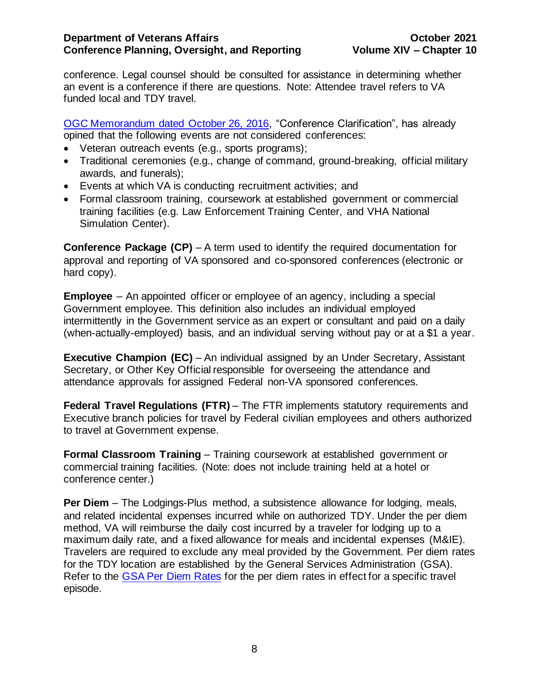conference. Legal counsel should be consulted for assistance in determining whether an event is a conference if there are questions. Note: Attendee travel refers to VA funded local and TDY travel.

[OGC Memorandum dated October 26, 2016,](http://vaww.trainingevents.va.gov/TRAININGEVENTS/docs/WF%207713724%2002%20Response.pdf) "Conference Clarification", has already opined that the following events are not considered conferences:

- Veteran outreach events (e.g., sports programs);
- Traditional ceremonies (e.g., change of command, ground-breaking, official military awards, and funerals);
- Events at which VA is conducting recruitment activities; and
- Formal classroom training, coursework at established government or commercial training facilities (e.g. Law Enforcement Training Center, and VHA National Simulation Center).

**Conference Package (CP)** – A term used to identify the required documentation for approval and reporting of VA sponsored and co-sponsored conferences (electronic or hard copy).

**Employee** – An appointed officer or employee of an agency, including a special Government employee. This definition also includes an individual employed intermittently in the Government service as an expert or consultant and paid on a daily (when-actually-employed) basis, and an individual serving without pay or at a \$1 a year.

**Executive Champion (EC)** – An individual assigned by an Under Secretary, Assistant Secretary, or Other Key Official responsible for overseeing the attendance and attendance approvals for assigned Federal non-VA sponsored conferences.

**Federal Travel Regulations (FTR)** – The FTR implements statutory requirements and Executive branch policies for travel by Federal civilian employees and others authorized to travel at Government expense.

**Formal Classroom Training** – Training coursework at established government or commercial training facilities. (Note: does not include training held at a hotel or conference center.)

**Per Diem** – The Lodgings-Plus method, a subsistence allowance for lodging, meals, and related incidental expenses incurred while on authorized TDY. Under the per diem method, VA will reimburse the daily cost incurred by a traveler for lodging up to a maximum daily rate, and a fixed allowance for meals and incidental expenses (M&IE). Travelers are required to exclude any meal provided by the Government. Per diem rates for the TDY location are established by the General Services Administration (GSA). Refer to the [GSA Per Diem Rates](http://www.gsa.gov/portal/category/100120) for the per diem rates in effect for a specific travel episode.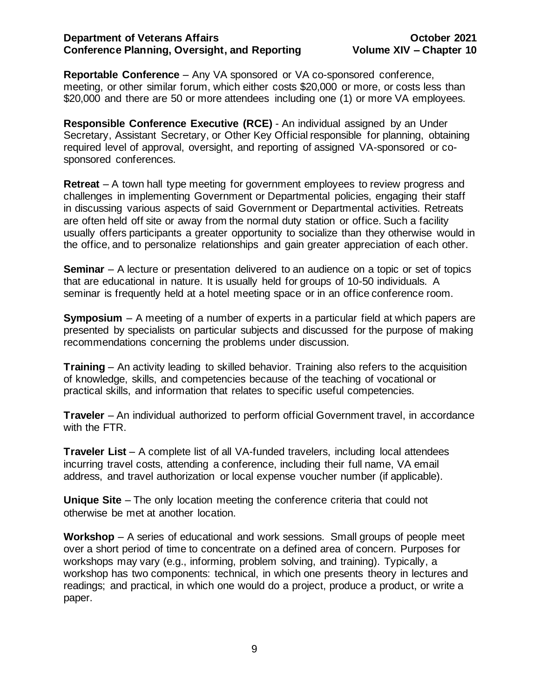**Reportable Conference** – Any VA sponsored or VA co-sponsored conference, meeting, or other similar forum, which either costs \$20,000 or more, or costs less than \$20,000 and there are 50 or more attendees including one (1) or more VA employees.

**Responsible Conference Executive (RCE)** - An individual assigned by an Under Secretary, Assistant Secretary, or Other Key Official responsible for planning, obtaining required level of approval, oversight, and reporting of assigned VA-sponsored or cosponsored conferences.

**Retreat** – A town hall type meeting for government employees to review progress and challenges in implementing Government or Departmental policies, engaging their staff in discussing various aspects of said Government or Departmental activities. Retreats are often held off site or away from the normal duty station or office. Such a facility usually offers participants a greater opportunity to socialize than they otherwise would in the office, and to personalize relationships and gain greater appreciation of each other.

**Seminar** – A lecture or presentation delivered to an audience on a topic or set of topics that are educational in nature. It is usually held for groups of 10-50 individuals. A seminar is frequently held at a hotel meeting space or in an office conference room.

**Symposium** – A meeting of a number of experts in a particular field at which papers are presented by specialists on particular subjects and discussed for the purpose of making recommendations concerning the problems under discussion.

**Training** – An activity leading to skilled behavior. Training also refers to the acquisition of knowledge, skills, and competencies because of the teaching of vocational or practical skills, and information that relates to specific useful competencies.

**Traveler** – An individual authorized to perform official Government travel, in accordance with the FTR.

**Traveler List** – A complete list of all VA-funded travelers, including local attendees incurring travel costs, attending a conference, including their full name, VA email address, and travel authorization or local expense voucher number (if applicable).

**Unique Site** – The only location meeting the conference criteria that could not otherwise be met at another location.

**Workshop** – A series of educational and work sessions. Small groups of people meet over a short period of time to concentrate on a defined area of concern. Purposes for workshops may vary (e.g., informing, problem solving, and training). Typically, a workshop has two components: technical, in which one presents theory in lectures and readings; and practical, in which one would do a project, produce a product, or write a paper.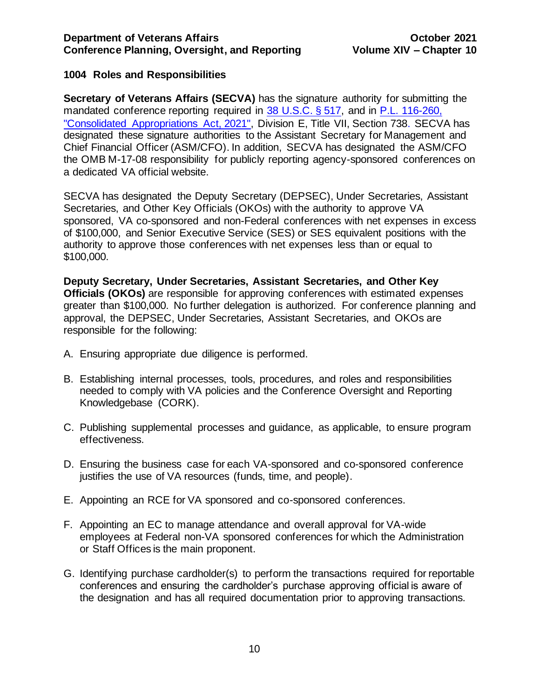# <span id="page-10-0"></span>**1004 Roles and Responsibilities**

**Secretary of Veterans Affairs (SECVA)** has the signature authority for submitting the mandated conference reporting required in [38 U.S.C. § 517,](http://uscode.house.gov/view.xhtml?req=(title:38%20section:517%20edition:prelim)) and in P.L. 116-260, ["Consolidated Appropriations Act, 2021",](https://www.congress.gov/bill/116th-congress/house-bill/133/text) Division E, Title VII, Section 738. SECVA has designated these signature authorities to the Assistant Secretary for Management and Chief Financial Officer (ASM/CFO). In addition, SECVA has designated the ASM/CFO the OMB M-17-08 responsibility for publicly reporting agency-sponsored conferences on a dedicated VA official website.

SECVA has designated the Deputy Secretary (DEPSEC), Under Secretaries, Assistant Secretaries, and Other Key Officials (OKOs) with the authority to approve VA sponsored, VA co-sponsored and non-Federal conferences with net expenses in excess of \$100,000, and Senior Executive Service (SES) or SES equivalent positions with the authority to approve those conferences with net expenses less than or equal to \$100,000.

**Deputy Secretary, Under Secretaries, Assistant Secretaries, and Other Key Officials (OKOs)** are responsible for approving conferences with estimated expenses greater than \$100,000. No further delegation is authorized. For conference planning and approval, the DEPSEC, Under Secretaries, Assistant Secretaries, and OKOs are responsible for the following:

- A. Ensuring appropriate due diligence is performed.
- B. Establishing internal processes, tools, procedures, and roles and responsibilities needed to comply with VA policies and the Conference Oversight and Reporting Knowledgebase (CORK).
- C. Publishing supplemental processes and guidance, as applicable, to ensure program effectiveness.
- D. Ensuring the business case for each VA-sponsored and co-sponsored conference justifies the use of VA resources (funds, time, and people).
- E. Appointing an RCE for VA sponsored and co-sponsored conferences.
- F. Appointing an EC to manage attendance and overall approval for VA-wide employees at Federal non-VA sponsored conferences for which the Administration or Staff Offices is the main proponent.
- G. Identifying purchase cardholder(s) to perform the transactions required for reportable conferences and ensuring the cardholder's purchase approving official is aware of the designation and has all required documentation prior to approving transactions.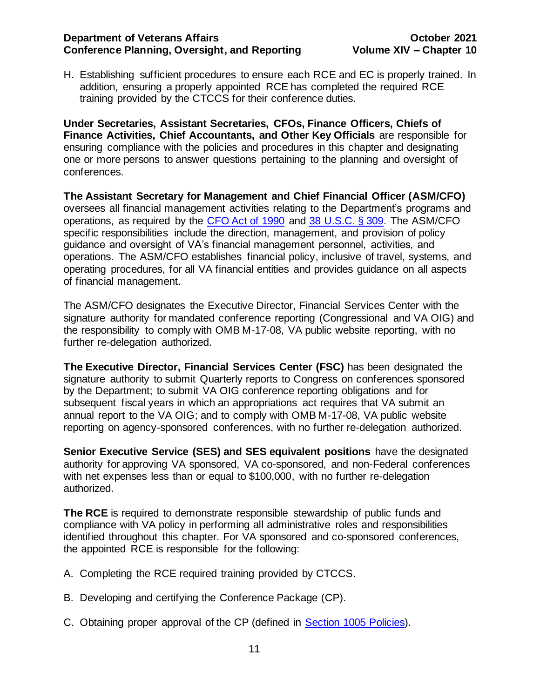H. Establishing sufficient procedures to ensure each RCE and EC is properly trained. In addition, ensuring a properly appointed RCE has completed the required RCE training provided by the CTCCS for their conference duties.

**Under Secretaries, Assistant Secretaries, CFOs, Finance Officers, Chiefs of Finance Activities, Chief Accountants, and Other Key Officials** are responsible for ensuring compliance with the policies and procedures in this chapter and designating one or more persons to answer questions pertaining to the planning and oversight of conferences.

**The Assistant Secretary for Management and Chief Financial Officer (ASM/CFO)** oversees all financial management activities relating to the Department's programs and operations, as required by the [CFO Act of 1990](http://govinfo.library.unt.edu/npr/library/misc/cfo.html) and [38 U.S.C. § 309.](https://www.gpo.gov/fdsys/pkg/CPRT-112HPRT65875/pdf/CPRT-112HPRT65875.pdf) The ASM/CFO specific responsibilities include the direction, management, and provision of policy guidance and oversight of VA's financial management personnel, activities, and operations. The ASM/CFO establishes financial policy, inclusive of travel, systems, and operating procedures, for all VA financial entities and provides guidance on all aspects of financial management.

The ASM/CFO designates the Executive Director, Financial Services Center with the signature authority for mandated conference reporting (Congressional and VA OIG) and the responsibility to comply with OMB M-17-08, VA public website reporting, with no further re-delegation authorized.

**The Executive Director, Financial Services Center (FSC)** has been designated the signature authority to submit Quarterly reports to Congress on conferences sponsored by the Department; to submit VA OIG conference reporting obligations and for subsequent fiscal years in which an appropriations act requires that VA submit an annual report to the VA OIG; and to comply with OMB M-17-08, VA public website reporting on agency-sponsored conferences, with no further re-delegation authorized.

**Senior Executive Service (SES) and SES equivalent positions** have the designated authority for approving VA sponsored, VA co-sponsored, and non-Federal conferences with net expenses less than or equal to \$100,000, with no further re-delegation authorized.

**The RCE** is required to demonstrate responsible stewardship of public funds and compliance with VA policy in performing all administrative roles and responsibilities identified throughout this chapter. For VA sponsored and co-sponsored conferences, the appointed RCE is responsible for the following:

- A. Completing the RCE required training provided by CTCCS.
- B. Developing and certifying the Conference Package (CP).
- C. Obtaining proper approval of the CP (defined in [Section 1005 Policies\)](#page-15-0).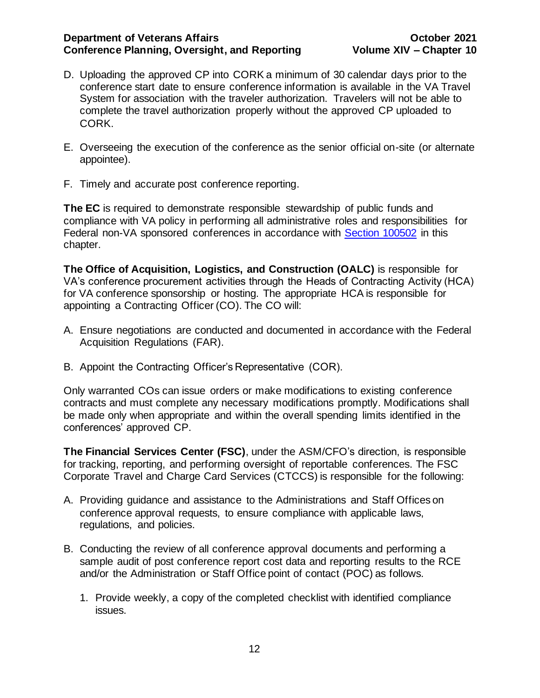- D. Uploading the approved CP into CORK a minimum of 30 calendar days prior to the conference start date to ensure conference information is available in the VA Travel System for association with the traveler authorization. Travelers will not be able to complete the travel authorization properly without the approved CP uploaded to CORK.
- E. Overseeing the execution of the conference as the senior official on-site (or alternate appointee).
- F. Timely and accurate post conference reporting.

**The EC** is required to demonstrate responsible stewardship of public funds and compliance with VA policy in performing all administrative roles and responsibilities for Federal non-VA sponsored conferences in accordance with [Section 100502](#page-20-0) in this chapter.

**The Office of Acquisition, Logistics, and Construction (OALC)** is responsible for VA's conference procurement activities through the Heads of Contracting Activity (HCA) for VA conference sponsorship or hosting. The appropriate HCA is responsible for appointing a Contracting Officer (CO). The CO will:

- A. Ensure negotiations are conducted and documented in accordance with the [Federal](https://www.acquisition.gov/sites/default/files/current/far/html/FARMTOC.html)  [Acquisition Regulations](https://www.acquisition.gov/sites/default/files/current/far/html/FARMTOC.html) (FAR).
- B. Appoint the Contracting Officer's Representative (COR).

Only warranted COs can issue orders or make modifications to existing conference contracts and must complete any necessary modifications promptly. Modifications shall be made only when appropriate and within the overall spending limits identified in the conferences' approved CP.

**The Financial Services Center (FSC)**, under the ASM/CFO's direction, is responsible for tracking, reporting, and performing oversight of reportable conferences. The FSC Corporate Travel and Charge Card Services (CTCCS) is responsible for the following:

- A. Providing guidance and assistance to the Administrations and Staff Offices on conference approval requests, to ensure compliance with applicable laws, regulations, and policies.
- B. Conducting the review of all conference approval documents and performing a sample audit of post conference report cost data and reporting results to the RCE and/or the Administration or Staff Office point of contact (POC) as follows.
	- 1. Provide weekly, a copy of the completed checklist with identified compliance issues.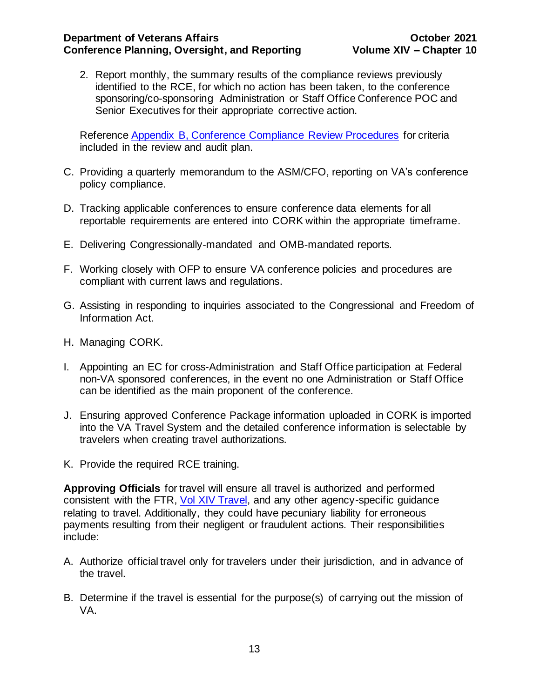2. Report monthly, the summary results of the compliance reviews previously identified to the RCE, for which no action has been taken, to the conference sponsoring/co-sponsoring Administration or Staff Office Conference POC and Senior Executives for their appropriate corrective action.

Reference [Appendix B, Conference Compliance Review Procedures](#page-46-0) for criteria included in the review and audit plan.

- C. Providing a quarterly memorandum to the ASM/CFO, reporting on VA's conference policy compliance.
- D. Tracking applicable conferences to ensure conference data elements for all reportable requirements are entered into CORK within the appropriate timeframe.
- E. Delivering Congressionally-mandated and OMB-mandated reports.
- F. Working closely with OFP to ensure VA conference policies and procedures are compliant with current laws and regulations.
- G. Assisting in responding to inquiries associated to the Congressional and Freedom of Information Act.
- H. Managing CORK.
- I. Appointing an EC for cross-Administration and Staff Office participation at Federal non-VA sponsored conferences, in the event no one Administration or Staff Office can be identified as the main proponent of the conference.
- J. Ensuring approved Conference Package information uploaded in CORK is imported into the VA Travel System and the detailed conference information is selectable by travelers when creating travel authorizations.
- K. Provide the required RCE training.

**Approving Officials** for travel will ensure all travel is authorized and performed consistent with the FTR, [Vol XIV Travel,](http://www.va.gov/finance/policy/pubs/volumeXIV.asp) and any other agency-specific guidance relating to travel. Additionally, they could have pecuniary liability for erroneous payments resulting from their negligent or fraudulent actions. Their responsibilities include:

- A. Authorize official travel only for travelers under their jurisdiction, and in advance of the travel.
- B. Determine if the travel is essential for the purpose(s) of carrying out the mission of VA.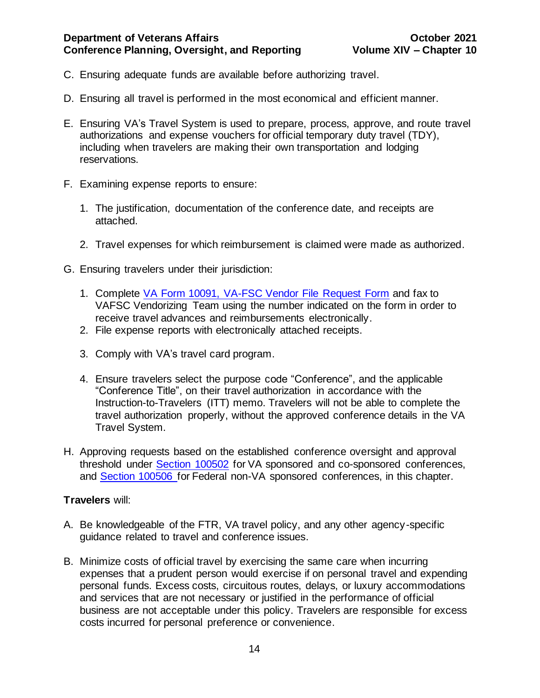- C. Ensuring adequate funds are available before authorizing travel.
- D. Ensuring all travel is performed in the most economical and efficient manner.
- E. Ensuring VA's Travel System is used to prepare, process, approve, and route travel authorizations and expense vouchers for official temporary duty travel (TDY), including when travelers are making their own transportation and lodging reservations.
- F. Examining expense reports to ensure:
	- 1. The justification, documentation of the conference date, and receipts are attached.
	- 2. Travel expenses for which reimbursement is claimed were made as authorized.
- G. Ensuring travelers under their jurisdiction:
	- 1. Complete [VA Form 10091, VA-FSC Vendor File Request Form](http://vaww.va.gov/vaforms/va/pdf/VA10091.pdf) and fax to VAFSC Vendorizing Team using the number indicated on the form in order to receive travel advances and reimbursements electronically.
	- 2. File expense reports with electronically attached receipts.
	- 3. Comply with VA's travel card program.
	- 4. Ensure travelers select the purpose code "Conference", and the applicable "Conference Title", on their travel authorization in accordance with the Instruction-to-Travelers (ITT) memo. Travelers will not be able to complete the travel authorization properly, without the approved conference details in the VA Travel System.
- H. Approving requests based on the established conference oversight and approval threshold under [Section 100502](#page-20-0) for VA sponsored and co-sponsored conferences, and Section 100506 for Federal non-VA sponsored conferences, in this chapter.

# **Travelers** will:

- A. Be knowledgeable of the FTR, VA travel policy, and any other agency-specific guidance related to travel and conference issues.
- B. Minimize costs of official travel by exercising the same care when incurring expenses that a prudent person would exercise if on personal travel and expending personal funds. Excess costs, circuitous routes, delays, or luxury accommodations and services that are not necessary or justified in the performance of official business are not acceptable under this policy. Travelers are responsible for excess costs incurred for personal preference or convenience.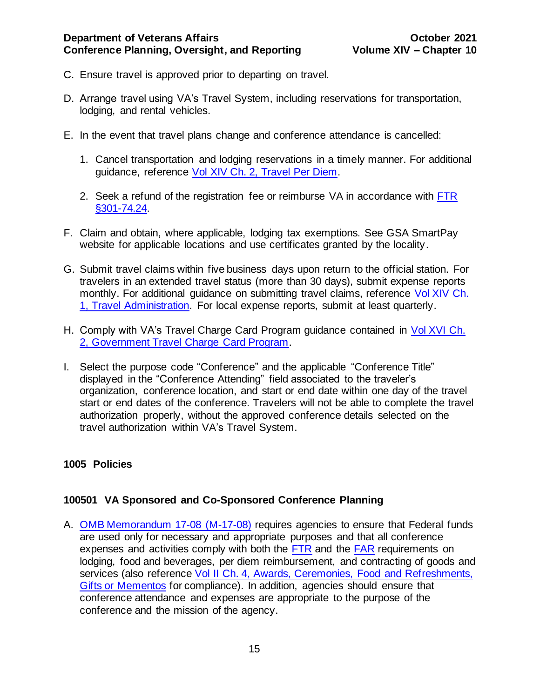- C. Ensure travel is approved prior to departing on travel.
- D. Arrange travel using VA's Travel System, including reservations for transportation, lodging, and rental vehicles.
- E. In the event that travel plans change and conference attendance is cancelled:
	- 1. Cancel transportation and lodging reservations in a timely manner. For additional guidance, reference [Vol XIV Ch. 2, Travel Per Diem.](https://www.va.gov/finance/docs/VA-FinancialPolicyVolumeXIVChapter02.pdf)
	- 2. Seek a refund of the registration fee or reimburse VA in accordance with [FTR](https://www.gsa.gov/policy-regulations/regulations/federal-travel-regulation-ftr?asset=102323)  [§301-74.24.](https://www.gsa.gov/policy-regulations/regulations/federal-travel-regulation-ftr?asset=102323)
- F. Claim and obtain, where applicable, lodging tax exemptions. See GSA SmartPay [website](https://smartpay.gsa.gov/about-gsa-smartpay/tax-information/state-response-letter) for applicable locations and use certificates granted by the locality.
- G. Submit travel claims within five business days upon return to the official station. For travelers in an extended travel status (more than 30 days), submit expense reports monthly. For additional guidance on submitting travel claims, reference [Vol XIV Ch.](https://www.va.gov/finance/docs/VA-FinancialPolicyVolumeXIVChapter01.pdf)  [1, Travel Administration.](https://www.va.gov/finance/docs/VA-FinancialPolicyVolumeXIVChapter01.pdf) For local expense reports, submit at least quarterly.
- H. Comply with VA's Travel Charge Card Program guidance contained in [Vol XVI Ch.](http://www.va.gov/finance/docs/VA-FinancialPolicyVolumeXVIChapter02.pdf) [2, Government Travel Charge Card Program.](http://www.va.gov/finance/docs/VA-FinancialPolicyVolumeXVIChapter02.pdf)
- I. Select the purpose code "Conference" and the applicable "Conference Title" displayed in the "Conference Attending" field associated to the traveler's organization, conference location, and start or end date within one day of the travel start or end dates of the conference. Travelers will not be able to complete the travel authorization properly, without the approved conference details selected on the travel authorization within VA's Travel System.

# <span id="page-15-0"></span>**1005 Policies**

# <span id="page-15-1"></span>**100501 VA Sponsored and Co-Sponsored Conference Planning**

A. [OMB Memorandum 17-08 \(M-17-08\)](https://www.whitehouse.gov/sites/default/files/omb/memoranda/2017/m-17-08.pdf) requires agencies to ensure that Federal funds are used only for necessary and appropriate purposes and that all conference expenses and activities comply with both the [FTR](https://www.gsa.gov/policy-regulations/regulations/federal-travel-regulation-ftr?asset=102167) and the [FAR](https://acquisition.gov/far/current/html/FARMTOC.html) requirements on lodging, food and beverages, per diem reimbursement, and contracting of goods and services (also referenc[e Vol II Ch. 4, Awards, Ceremonies, Food and Refreshments,](http://www.va.gov/finance/docs/VA-FinancialPolicyVolumeIIChapter04.pdf)  [Gifts or Mementos](http://www.va.gov/finance/docs/VA-FinancialPolicyVolumeIIChapter04.pdf) for compliance). In addition, agencies should ensure that conference attendance and expenses are appropriate to the purpose of the conference and the mission of the agency.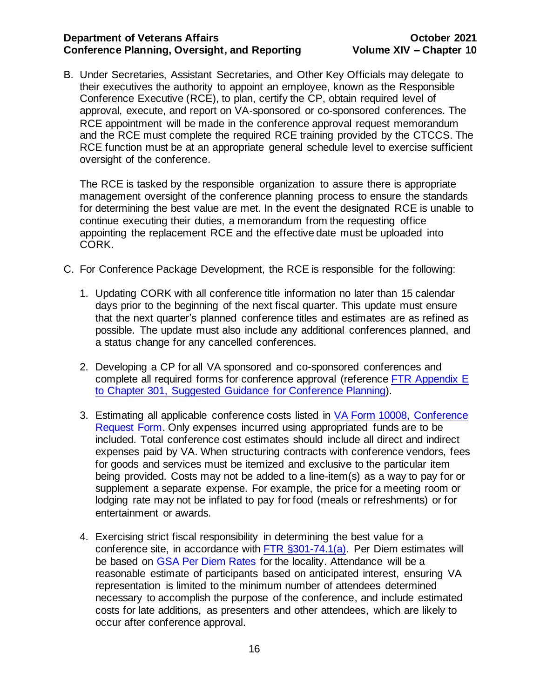B. Under Secretaries, Assistant Secretaries, and Other Key Officials may delegate to their executives the authority to appoint an employee, known as the Responsible Conference Executive (RCE), to plan, certify the CP, obtain required level of approval, execute, and report on VA-sponsored or co-sponsored conferences. The RCE appointment will be made in the conference approval request memorandum and the RCE must complete the required RCE training provided by the CTCCS. The RCE function must be at an appropriate general schedule level to exercise sufficient oversight of the conference.

The RCE is tasked by the responsible organization to assure there is appropriate management oversight of the conference planning process to ensure the standards for determining the best value are met. In the event the designated RCE is unable to continue executing their duties, a memorandum from the requesting office appointing the replacement RCE and the effective date must be uploaded into CORK.

- C. For Conference Package Development, the RCE is responsible for the following:
	- 1. Updating CORK with all conference title information no later than 15 calendar days prior to the beginning of the next fiscal quarter. This update must ensure that the next quarter's planned conference titles and estimates are as refined as possible. The update must also include any additional conferences planned, and a status change for any cancelled conferences.
	- 2. Developing a CP for all VA sponsored and co-sponsored conferences and complete all required forms for conference approval (reference [FTR Appendix E](https://www.gsa.gov/policy-regulations/regulations/federal-travel-regulation-ftr?asset=102271#i1191264)  [to Chapter 301, Suggested Guidance for Conference Planning\)](https://www.gsa.gov/policy-regulations/regulations/federal-travel-regulation-ftr?asset=102271#i1191264).
	- 3. Estimating all applicable conference costs listed in [VA Form 10008, Conference](http://vaww.va.gov/vaforms/va/pdf/VA10008.pdf)  [Request Form.](http://vaww.va.gov/vaforms/va/pdf/VA10008.pdf) Only expenses incurred using appropriated funds are to be included. Total conference cost estimates should include all direct and indirect expenses paid by VA. When structuring contracts with conference vendors, fees for goods and services must be itemized and exclusive to the particular item being provided. Costs may not be added to a line-item(s) as a way to pay for or supplement a separate expense. For example, the price for a meeting room or lodging rate may not be inflated to pay for food (meals or refreshments) or for entertainment or awards.
	- 4. Exercising strict fiscal responsibility in determining the best value for a conference site, in accordance with [FTR §301-74.1\(a\).](https://www.gsa.gov/policy-regulations/regulations/federal-travel-regulation-ftr?asset=122624) Per Diem estimates will be based on [GSA Per Diem Rates](http://www.gsa.gov/portal/category/100120) for the locality. Attendance will be a reasonable estimate of participants based on anticipated interest, ensuring VA representation is limited to the minimum number of attendees determined necessary to accomplish the purpose of the conference, and include estimated costs for late additions, as presenters and other attendees, which are likely to occur after conference approval.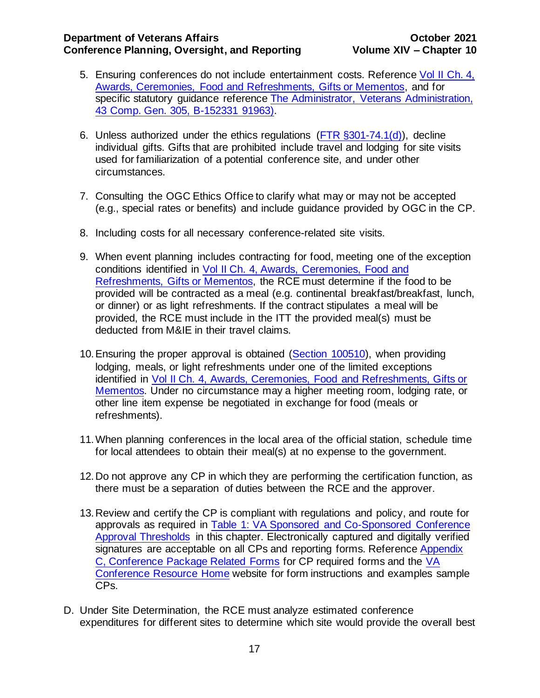- 5. Ensuring conferences do not include entertainment costs. Reference [Vol II Ch. 4,](http://www.va.gov/finance/docs/VA-FinancialPolicyVolumeIIChapter04.pdf)  [Awards, Ceremonies, Food and Refreshments, Gifts or Mementos,](http://www.va.gov/finance/docs/VA-FinancialPolicyVolumeIIChapter04.pdf) and for specific statutory guidance reference [The Administrator, Veterans Administration,](https://www.gao.gov/products/445356)  [43 Comp. Gen. 305, B-152331 91963\).](https://www.gao.gov/products/445356)
- 6. Unless authorized under the ethics regulations ( $\overline{\text{FTR}}$  §301-74.1(d)), decline individual gifts. Gifts that are prohibited include travel and lodging for site visits used for familiarization of a potential conference site, and under other circumstances.
- 7. Consulting the OGC Ethics Office to clarify what may or may not be accepted (e.g., special rates or benefits) and include guidance provided by OGC in the CP.
- 8. Including costs for all necessary conference-related site visits.
- 9. When event planning includes contracting for food, meeting one of the exception conditions identified in [Vol II Ch. 4, Awards, Ceremonies, Food and](http://www.va.gov/finance/docs/VA-FinancialPolicyVolumeIIChapter04.pdf)  [Refreshments, Gifts or Mementos,](http://www.va.gov/finance/docs/VA-FinancialPolicyVolumeIIChapter04.pdf) the RCE must determine if the food to be provided will be contracted as a meal (e.g. continental breakfast/breakfast, lunch, or dinner) or as light refreshments. If the contract stipulates a meal will be provided, the RCE must include in the ITT the provided meal(s) must be deducted from M&IE in their travel claims.
- 10.Ensuring the proper approval is obtained [\(Section 100510\)](#page-31-2), when providing lodging, meals, or light refreshments under one of the limited exceptions identified in [Vol II Ch. 4, Awards, Ceremonies, Food and Refreshments, Gifts or](http://www.va.gov/finance/docs/VA-FinancialPolicyVolumeIIChapter04.pdf)  [Mementos.](http://www.va.gov/finance/docs/VA-FinancialPolicyVolumeIIChapter04.pdf) Under no circumstance may a higher meeting room, lodging rate, or other line item expense be negotiated in exchange for food (meals or refreshments).
- 11.When planning conferences in the local area of the official station, schedule time for local attendees to obtain their meal(s) at no expense to the government.
- 12.Do not approve any CP in which they are performing the certification function, as there must be a separation of duties between the RCE and the approver.
- 13.Review and certify the CP is compliant with regulations and policy, and route for approvals as required in [Table 1: VA Sponsored and Co-Sponsored Conference](#page-20-1)  [Approval Thresholds](#page-20-1) in this chapter. Electronically captured and digitally verified signatures are acceptable on all CPs and reporting forms. Reference Appendix [C, Conference Package Related Forms](#page-50-0) for CP required forms and the [VA](http://vaww.trainingevents.va.gov/index.asp)  [Conference Resource Home](http://vaww.trainingevents.va.gov/index.asp) website for form instructions and examples sample CPs.
- D. Under Site Determination, the RCE must analyze estimated conference expenditures for different sites to determine which site would provide the overall best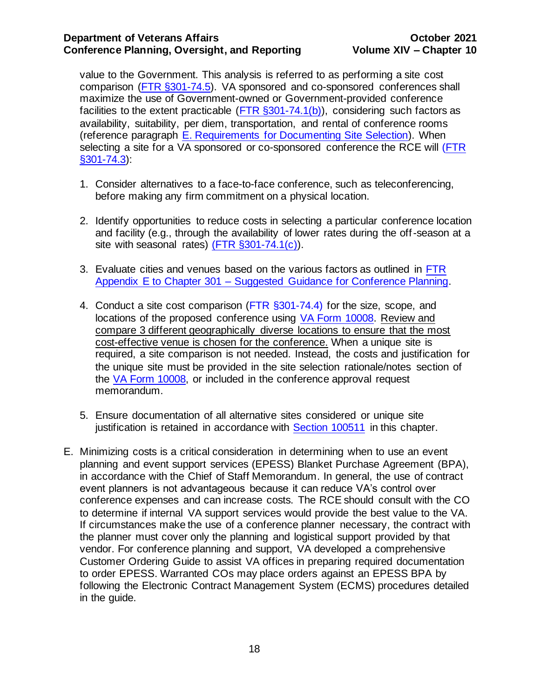value to the Government. This analysis is referred to as performing a site cost comparison [\(FTR §301-74.5\)](https://www.gsa.gov/policy-regulations/regulations/federal-travel-regulation-ftr?asset=101232#wp1092980). VA sponsored and co-sponsored conferences shall maximize the use of Government-owned or Government-provided conference facilities to the extent practicable ( $\overline{FTR}$  §301-74.1(b)), considering such factors as availability, suitability, per diem, transportation, and rental of conference rooms (reference paragraph [E. Requirements for Documenting Site Selection\)](#page-19-0). When selecting a site for a VA sponsored or co-sponsored conference the RCE will [\(FTR](https://www.gsa.gov/policy-regulations/regulations/federal-travel-regulation-ftr?asset=122624)  [§301-74.3\)](https://www.gsa.gov/policy-regulations/regulations/federal-travel-regulation-ftr?asset=122624):

- 1. Consider alternatives to a face-to-face conference, such as teleconferencing, before making any firm commitment on a physical location.
- 2. Identify opportunities to reduce costs in selecting a particular conference location and facility (e.g., through the availability of lower rates during the off-season at a site with seasonal rates)  $($  FTR  $\S 301 - 74.1(c)$ .
- 3. Evaluate cities and venues based on the various factors as outlined in [FTR](http://gsa.gov/portal/ext/public/site/FTR/file/Chapter301pAppE.html/category/21868/#wp1185528)  Appendix E to Chapter 301 – [Suggested Guidance for Conference Planning.](http://gsa.gov/portal/ext/public/site/FTR/file/Chapter301pAppE.html/category/21868/#wp1185528)
- 4. Conduct a site cost comparison [\(FTR §301-74.4\)](http://www.gsa.gov/portal/ext/public/site/FTR/file/Chapter301p074.html/category/21868/#wp1092977) for the size, scope, and locations of the proposed conference using [VA Form 10008.](http://vaww.va.gov/vaforms/va/pdf/VA10008.pdf) Review and compare 3 different geographically diverse locations to ensure that the most cost-effective venue is chosen for the conference. When a unique site is required, a site comparison is not needed. Instead, the costs and justification for the unique site must be provided in the site selection rationale/notes section of the [VA Form 10008,](https://vaww.va.gov/vaforms/va/pdf/VA10008.pdf) or included in the conference approval request memorandum.
- 5. Ensure documentation of all alternative sites considered or unique site justification is retained in accordance with [Section 100511](#page-32-0) in this chapter.
- E. Minimizing costs is a critical consideration in determining when to use an event planning and event support services (EPESS) Blanket Purchase Agreement (BPA), in accordance with the [Chief of Staff Memorandum.](http://vaww.trainingevents.va.gov/docs/Signed%20COSVA%20SD%20Memo%20(2).pdf) In general, the use of contract event planners is not advantageous because it can reduce VA's control over conference expenses and can increase costs. The RCE should consult with the CO to determine if internal VA support services would provide the best value to the VA. If circumstances make the use of a conference planner necessary, the contract with the planner must cover only the planning and logistical support provided by that vendor. For conference planning and support, VA developed a comprehensive [Customer Ordering Guide](http://www.va.gov/officeofacquisitionoperations/customers/resources.asp) to assist VA offices in preparing required documentation to order EPESS. Warranted COs may place orders against an EPESS BPA by following the Electronic Contract Management System (ECMS) procedures detailed in the guide.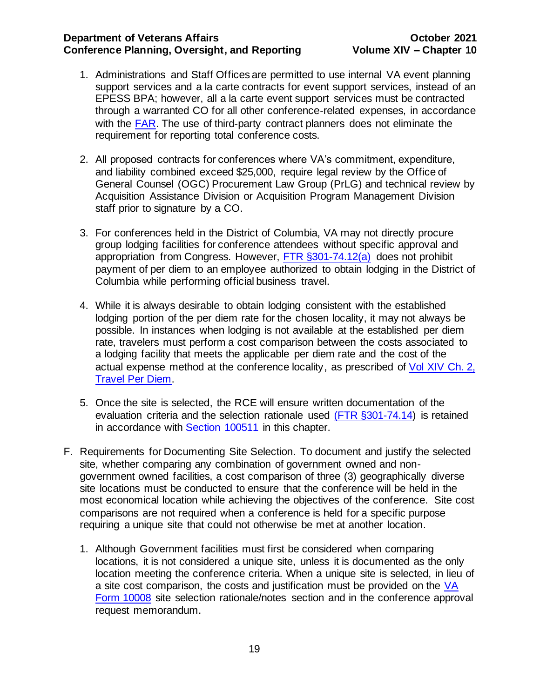- 1. Administrations and Staff Offices are permitted to use internal VA event planning support services and a la carte contracts for event support services, instead of an EPESS BPA; however, all a la carte event support services must be contracted through a warranted CO for all other conference-related expenses, in accordance with the [FAR.](https://www.acquisition.gov/sites/default/files/current/far/html/FARMTOC.html) The use of third-party contract planners does not eliminate the requirement for reporting total conference costs.
- 2. All proposed contracts for conferences where VA's commitment, expenditure, and liability combined exceed \$25,000, require legal review by the Office of General Counsel (OGC) Procurement Law Group (PrLG) and technical review by Acquisition Assistance Division or Acquisition Program Management Division staff prior to signature by a CO.
- 3. For conferences held in the District of Columbia, VA may not directly procure group lodging facilities for conference attendees without specific approval and appropriation from Congress. However, [FTR §301-74.12\(a\)](https://www.gsa.gov/policy-regulations/regulations/federal-travel-regulation-ftr?asset=102323#d25e10374) does not prohibit payment of per diem to an employee authorized to obtain lodging in the District of Columbia while performing official business travel.
- 4. While it is always desirable to obtain lodging consistent with the established lodging portion of the per diem rate for the chosen locality, it may not always be possible. In instances when lodging is not available at the established per diem rate, travelers must perform a cost comparison between the costs associated to a lodging facility that meets the applicable per diem rate and the cost of the actual expense method at the conference locality, as prescribed of [Vol XIV Ch.](http://www.va.gov/finance/docs/VA-FinancialPolicyVolumeXIVChapter02.pdf) 2, [Travel Per Diem.](http://www.va.gov/finance/docs/VA-FinancialPolicyVolumeXIVChapter02.pdf)
- 5. Once the site is selected, the RCE will ensure written documentation of the evaluation criteria and the selection rationale used [\(FTR §301-74.14\)](https://www.gsa.gov/policy-regulations/regulations/federal-travel-regulation-ftr?asset=102323#d25e10374) is retained in accordance with [Section 100511](#page-32-0) in this chapter.
- <span id="page-19-0"></span>F. Requirements for Documenting Site Selection. To document and justify the selected site, whether comparing any combination of government owned and nongovernment owned facilities, a cost comparison of three (3) geographically diverse site locations must be conducted to ensure that the conference will be held in the most economical location while achieving the objectives of the conference. Site cost comparisons are not required when a conference is held for a specific purpose requiring a unique site that could not otherwise be met at another location.
	- 1. Although Government facilities must first be considered when comparing locations, it is not considered a unique site, unless it is documented as the only location meeting the conference criteria. When a unique site is selected, in lieu of a site cost comparison, the costs and justification must be provided on the [VA](http://vaww.va.gov/vaforms/va/pdf/VA10008.pdf)  [Form 10008](http://vaww.va.gov/vaforms/va/pdf/VA10008.pdf) site selection rationale/notes section and in the conference approval request memorandum.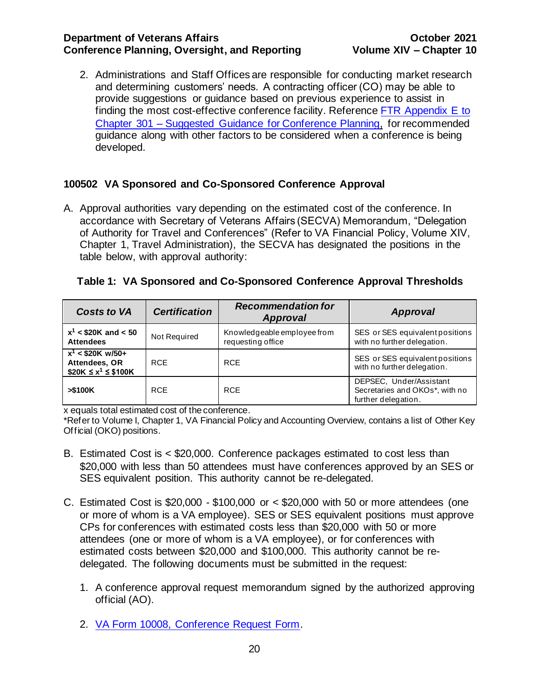2. Administrations and Staff Offices are responsible for conducting market research and determining customers' needs. A contracting officer (CO) may be able to provide suggestions or guidance based on previous experience to assist in finding the most cost-effective conference facility. Reference [FTR Appendix E to](https://www.gsa.gov/policy-regulations/regulations/federal-travel-regulation-ftr?asset=102271#i1191264)  Chapter 301 – [Suggested Guidance for Conference Planning,](https://www.gsa.gov/policy-regulations/regulations/federal-travel-regulation-ftr?asset=102271#i1191264) for recommended guidance along with other factors to be considered when a conference is being developed.

# <span id="page-20-0"></span>**100502 VA Sponsored and Co-Sponsored Conference Approval**

A. Approval authorities vary depending on the estimated cost of the conference. In accordance with Secretary of Veterans Affairs (SECVA) Memorandum, "Delegation of Authority for Travel and Conferences" (Refer to VA Financial Policy, Volume XIV, Chapter 1, Travel Administration), the SECVA has designated the positions in the table below, with approval authority:

| <b>Costs to VA</b>                                               | <b>Certification</b> | <b>Recommendation for</b><br>Approval            | <b>Approval</b>                                                                  |
|------------------------------------------------------------------|----------------------|--------------------------------------------------|----------------------------------------------------------------------------------|
| $x^1$ < \$20K and < 50<br><b>Attendees</b>                       | Not Required         | Knowledgeable employee from<br>requesting office | SES or SES equivalent positions<br>with no further delegation.                   |
| $x^1$ < \$20K w/50+<br>Attendees, OR<br>$$20K \le x^1 \le $100K$ | <b>RCE</b>           | <b>RCE</b>                                       | SES or SES equivalent positions<br>with no further delegation.                   |
| > \$100K                                                         | <b>RCE</b>           | <b>RCE</b>                                       | DEPSEC, Under/Assistant<br>Secretaries and OKOs*, with no<br>further delegation. |

<span id="page-20-1"></span>

|  |  | Table 1: VA Sponsored and Co-Sponsored Conference Approval Thresholds |  |
|--|--|-----------------------------------------------------------------------|--|
|  |  |                                                                       |  |

x equals total estimated cost of the conference.

\*Refer to Volume I, Chapter 1, VA Financial Policy and Accounting Overview, contains a list of Other Key Official (OKO) positions.

- B. Estimated Cost is < \$20,000. Conference packages estimated to cost less than \$20,000 with less than 50 attendees must have conferences approved by an SES or SES equivalent position. This authority cannot be re-delegated.
- C. Estimated Cost is \$20,000 \$100,000 or < \$20,000 with 50 or more attendees (one or more of whom is a VA employee). SES or SES equivalent positions must approve CPs for conferences with estimated costs less than \$20,000 with 50 or more attendees (one or more of whom is a VA employee), or for conferences with estimated costs between \$20,000 and \$100,000. This authority cannot be redelegated. The following documents must be submitted in the request:
	- 1. A conference approval request memorandum signed by the authorized approving official (AO).
	- 2. [VA Form 10008,](http://vaww.va.gov/vaforms/va/pdf/VA10008.pdf) Conference Request Form.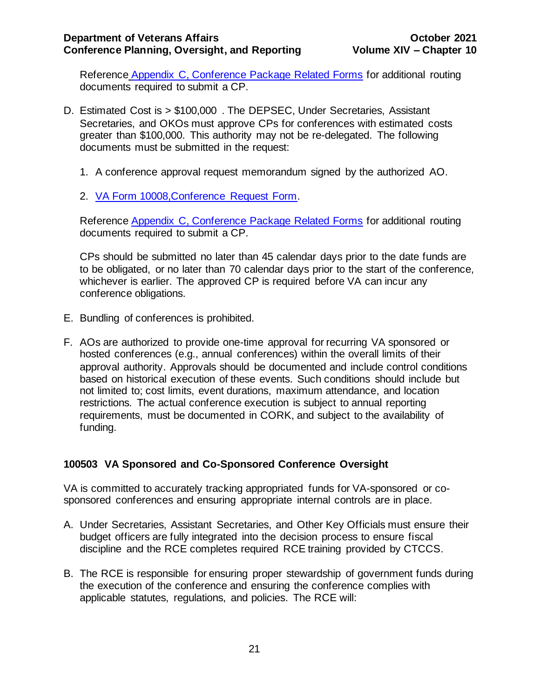Reference [Appendix C, Conference Package Related Forms](#page-50-0) for additional routing documents required to submit a CP.

- D. Estimated Cost is > \$100,000 . The DEPSEC, Under Secretaries, Assistant Secretaries, and OKOs must approve CPs for conferences with estimated costs greater than \$100,000. This authority may not be re-delegated. The following documents must be submitted in the request:
	- 1. A conference approval request memorandum signed by the authorized AO.
	- 2. [VA Form 10008,C](http://vaww.va.gov/vaforms/va/pdf/VA10008.pdf)onference Request Form.

Reference [Appendix C, Conference Package Related Forms](#page-50-0) for additional routing documents required to submit a CP.

CPs should be submitted no later than 45 calendar days prior to the date funds are to be obligated, or no later than 70 calendar days prior to the start of the conference, whichever is earlier. The approved CP is required before VA can incur any conference obligations.

- E. Bundling of conferences is prohibited.
- F. AOs are authorized to provide one-time approval for recurring VA sponsored or hosted conferences (e.g., annual conferences) within the overall limits of their approval authority. Approvals should be documented and include control conditions based on historical execution of these events. Such conditions should include but not limited to; cost limits, event durations, maximum attendance, and location restrictions. The actual conference execution is subject to annual reporting requirements, must be documented in CORK, and subject to the availability of funding.

# <span id="page-21-0"></span>**100503 VA Sponsored and Co-Sponsored Conference Oversight**

VA is committed to accurately tracking appropriated funds for VA-sponsored or cosponsored conferences and ensuring appropriate internal controls are in place.

- A. Under Secretaries, Assistant Secretaries, and Other Key Officials must ensure their budget officers are fully integrated into the decision process to ensure fiscal discipline and the RCE completes required RCE training provided by CTCCS.
- B. The RCE is responsible for ensuring proper stewardship of government funds during the execution of the conference and ensuring the conference complies with applicable statutes, regulations, and policies. The RCE will: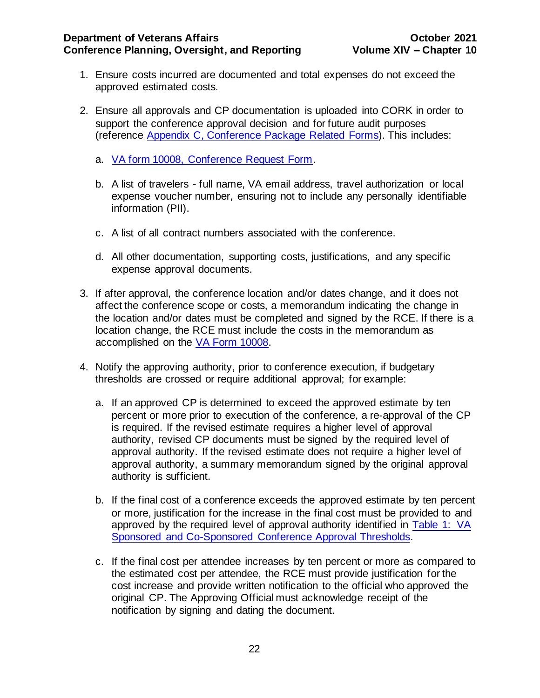- 1. Ensure costs incurred are documented and total expenses do not exceed the approved estimated costs.
- 2. Ensure all approvals and CP documentation is uploaded into CORK in order to support the conference approval decision and for future audit purposes (reference [Appendix C, Conference Package](#page-50-0) Related Forms). This includes:
	- a. [VA form 10008,](http://vaww.va.gov/vaforms/va/pdf/VA10008.pdf) Conference Request Form.
	- b. A list of travelers full name, VA email address, travel authorization or local expense voucher number, ensuring not to include any personally identifiable information (PII).
	- c. A list of all contract numbers associated with the conference.
	- d. All other documentation, supporting costs, justifications, and any specific expense approval documents.
- 3. If after approval, the conference location and/or dates change, and it does not affect the conference scope or costs, a memorandum indicating the change in the location and/or dates must be completed and signed by the RCE. If there is a location change, the RCE must include the costs in the memorandum as accomplished on the [VA Form 10008.](http://vaww.va.gov/vaforms/va/pdf/VA10008.pdf)
- 4. Notify the approving authority, prior to conference execution, if budgetary thresholds are crossed or require additional approval; for example:
	- a. If an approved CP is determined to exceed the approved estimate by ten percent or more prior to execution of the conference, a re-approval of the CP is required. If the revised estimate requires a higher level of approval authority, revised CP documents must be signed by the required level of approval authority. If the revised estimate does not require a higher level of approval authority, a summary memorandum signed by the original approval authority is sufficient.
	- b. If the final cost of a conference exceeds the approved estimate by ten percent or more, justification for the increase in the final cost must be provided to and approved by the required level of approval authority identified in [Table 1: VA](#page-20-1)  [Sponsored and Co-Sponsored Conference Approval Thresholds.](#page-20-1)
	- c. If the final cost per attendee increases by ten percent or more as compared to the estimated cost per attendee, the RCE must provide justification for the cost increase and provide written notification to the official who approved the original CP. The Approving Official must acknowledge receipt of the notification by signing and dating the document.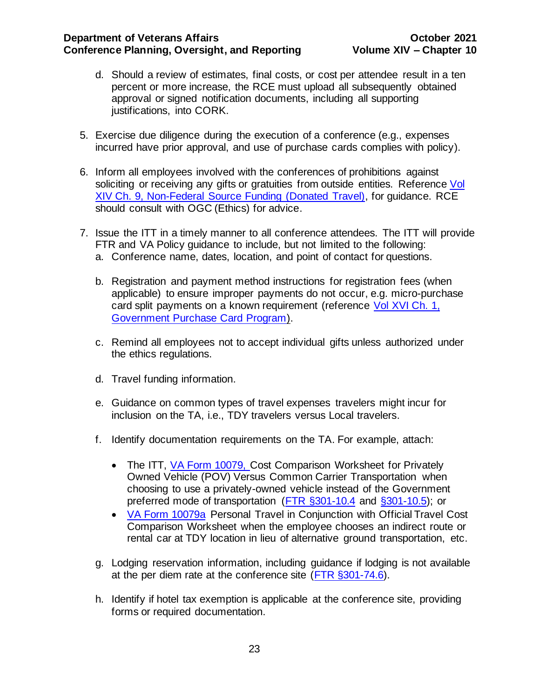- d. Should a review of estimates, final costs, or cost per attendee result in a ten percent or more increase, the RCE must upload all subsequently obtained approval or signed notification documents, including all supporting justifications, into CORK.
- 5. Exercise due diligence during the execution of a conference (e.g., expenses incurred have prior approval, and use of purchase cards complies with policy).
- 6. Inform all employees involved with the conferences of prohibitions against soliciting or receiving any gifts or gratuities from outside entities. Reference Vol XIV Ch. [9, Non-Federal Source Funding \(Donated Travel\),](http://www.va.gov/finance/docs/VA-FinancialPolicyVolumeXIVChapter09.pdf) for guidance. RCE should consult with OGC (Ethics) for advice.
- 7. Issue the ITT in a timely manner to all conference attendees. The ITT will provide FTR and VA Policy guidance to include, but not limited to the following: a. Conference name, dates, location, and point of contact for questions.
	- b. Registration and payment method instructions for registration fees (when applicable) to ensure improper payments do not occur, e.g. micro-purchase card split payments on a known requirement (reference [Vol XVI Ch.](https://www.va.gov/finance/docs/VA-FinancialPolicyVolumeXVIChapter01A.pdf) 1, [Government Purchase Card Program\)](https://www.va.gov/finance/docs/VA-FinancialPolicyVolumeXVIChapter01A.pdf).
	- c. Remind all employees not to accept individual gifts unless authorized under the ethics regulations.
	- d. Travel funding information.
	- e. Guidance on common types of travel expenses travelers might incur for inclusion on the TA, i.e., TDY travelers versus Local travelers.
	- f. Identify documentation requirements on the TA. For example, attach:
		- The ITT, [VA Form 10079, C](http://vaww.va.gov/vaforms/va/pdf/VA10079.pdf)ost Comparison Worksheet for Privately Owned Vehicle (POV) Versus Common Carrier Transportation when choosing to use a privately-owned vehicle instead of the Government preferred mode of transportation [\(FTR §301-10.4](https://www.gsa.gov/policy-regulations/regulations/federal-travel-regulation-ftr?asset=122660) and §301-10.5); or
		- [VA Form 10079a](http://vaww.va.gov/vaforms/va/pdf/VA10079a.pdf) Personal Travel in Conjunction with Official Travel Cost Comparison Worksheet when the employee chooses an indirect route or rental car at TDY location in lieu of alternative ground transportation, etc.
	- g. Lodging reservation information, including guidance if lodging is not available at the per diem rate at the conference site [\(FTR §301-74.6\).](https://www.gsa.gov/policy-regulations/regulations/federal-travel-regulation-ftr?asset=122624)
	- h. Identify if hotel tax exemption is applicable at the conference site, providing forms or required documentation.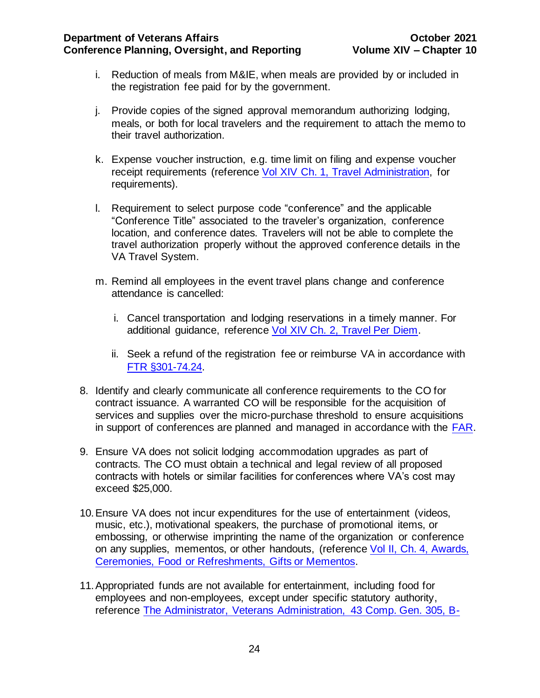- i. Reduction of meals from M&IE, when meals are provided by or included in the registration fee paid for by the government.
- j. Provide copies of the signed approval memorandum authorizing lodging, meals, or both for local travelers and the requirement to attach the memo to their travel authorization.
- k. Expense voucher instruction, e.g. time limit on filing and expense voucher receipt requirements (reference Vol XIV Ch. [1, Travel Administration, for](http://www.va.gov/finance/docs/VA-FinancialPolicyVolumeXIVChapter01.pdf)  [requirements\)](http://www.va.gov/finance/docs/VA-FinancialPolicyVolumeXIVChapter01.pdf).
- l. Requirement to select purpose code "conference" and the applicable "Conference Title" associated to the traveler's organization, conference location, and conference dates. Travelers will not be able to complete the travel authorization properly without the approved conference details in the VA Travel System.
- m. Remind all employees in the event travel plans change and conference attendance is cancelled:
	- i. Cancel transportation and lodging reservations in a timely manner. For additional guidance, reference [Vol XIV Ch. 2, Travel Per Diem.](https://www.va.gov/finance/docs/VA-FinancialPolicyVolumeXIVChapter02.pdf)
	- ii. Seek a refund of the registration fee or reimburse VA in accordance with [FTR §301-74.24.](https://www.gsa.gov/policy-regulations/regulations/federal-travel-regulation-ftr?asset=122624)
- 8. Identify and clearly communicate all conference requirements to the CO for contract issuance. A warranted CO will be responsible for the acquisition of services and supplies over the micro-purchase threshold to ensure acquisitions in support of conferences are planned and managed in accordance with the [FAR.](https://www.acquisition.gov/sites/default/files/current/far/html/FARMTOC.html)
- 9. Ensure VA does not solicit lodging accommodation upgrades as part of contracts. The CO must obtain a technical and legal review of all proposed contracts with hotels or similar facilities for conferences where VA's cost may exceed \$25,000.
- 10.Ensure VA does not incur expenditures for the use of entertainment (videos, music, etc.), motivational speakers, the purchase of promotional items, or embossing, or otherwise imprinting the name of the organization or conference on any supplies, mementos, or other handouts, (reference [Vol II, Ch. 4, Awards,](http://www.va.gov/finance/docs/VA-FinancialPolicyVolumeIIChapter04.pdf)  [Ceremonies, Food or Refreshments, Gifts or Mementos.](http://www.va.gov/finance/docs/VA-FinancialPolicyVolumeIIChapter04.pdf)
- 11.Appropriated funds are not available for entertainment, including food for employees and non-employees, except under specific statutory authority, reference [The Administrator, Veterans Administration, 43 Comp. Gen. 305, B-](https://www.gao.gov/products/445356)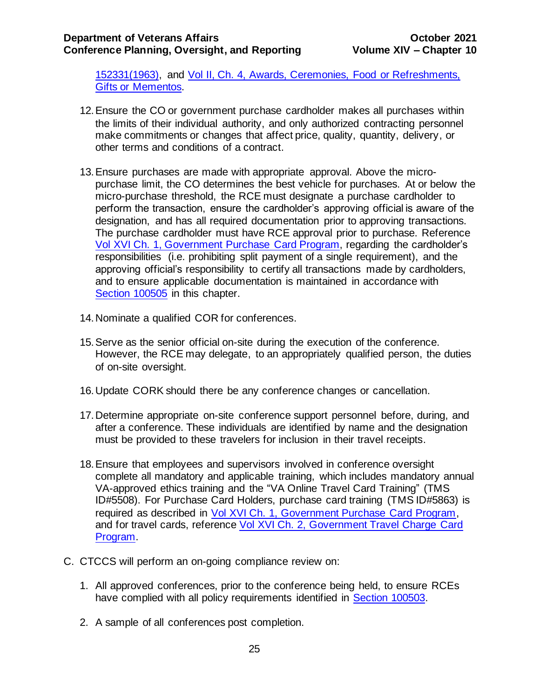[152331\(1963\),](https://www.gao.gov/products/445356) and Vol [II, Ch. 4, Awards, Ceremonies, Food or Refreshments,](http://www.va.gov/finance/docs/VA-FinancialPolicyVolumeIIChapter04.pdf)  [Gifts or Mementos.](http://www.va.gov/finance/docs/VA-FinancialPolicyVolumeIIChapter04.pdf)

- 12.Ensure the CO or government purchase cardholder makes all purchases within the limits of their individual authority, and only authorized contracting personnel make commitments or changes that affect price, quality, quantity, delivery, or other terms and conditions of a contract.
- 13.Ensure purchases are made with appropriate approval. Above the micropurchase limit, the CO determines the best vehicle for purchases. At or below the micro-purchase threshold, the RCE must designate a purchase cardholder to perform the transaction, ensure the cardholder's approving official is aware of the designation, and has all required documentation prior to approving transactions. The purchase cardholder must have RCE approval prior to purchase. Reference Vol XVI Ch. [1, Government Purchase Card Program,](http://www.va.gov/finance/docs/VA-FinancialPolicyVolumeXVIChapter01.pdf) regarding the cardholder's responsibilities (i.e. prohibiting split payment of a single requirement), and the approving official's responsibility to certify all transactions made by cardholders, and to ensure applicable documentation is maintained in accordance with [Section 100505](#page-28-0) in this chapter.
- 14.Nominate a qualified COR for conferences.
- 15.Serve as the senior official on-site during the execution of the conference. However, the RCE may delegate, to an appropriately qualified person, the duties of on-site oversight.
- 16.Update CORK should there be any conference changes or cancellation.
- 17.Determine appropriate on-site conference support personnel before, during, and after a conference. These individuals are identified by name and the designation must be provided to these travelers for inclusion in their travel receipts.
- 18.Ensure that employees and supervisors involved in conference oversight complete all mandatory and applicable training, which includes mandatory annual VA-approved ethics training and the "VA Online Travel Card Training" (TMS ID#5508). For Purchase Card Holders, purchase card training (TMS ID#5863) is required as described in [Vol XVI Ch. 1, Government Purchase Card Program,](http://www.va.gov/finance/docs/VA-FinancialPolicyVolumeXVIChapter01.pdf) and for travel cards, reference [Vol XVI Ch. 2, Government Travel Charge Card](http://www.va.gov/finance/docs/VA-FinancialPolicyVolumeXVIChapter02.pdf)  [Program.](http://www.va.gov/finance/docs/VA-FinancialPolicyVolumeXVIChapter02.pdf)
- C. CTCCS will perform an on-going compliance review on:
	- 1. All approved conferences, prior to the conference being held, to ensure RCEs have complied with all policy requirements identified in Section 100503.
	- 2. A sample of all conferences post completion.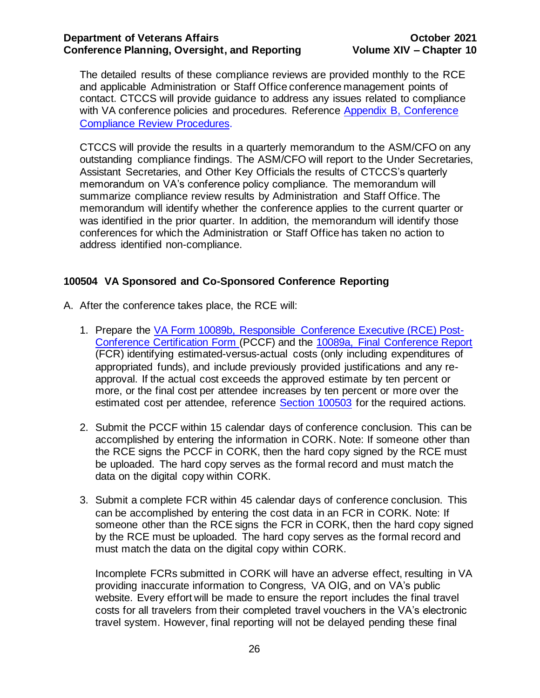The detailed results of these compliance reviews are provided monthly to the RCE and applicable Administration or Staff Office conference management points of contact. CTCCS will provide guidance to address any issues related to compliance with VA conference policies and procedures. Reference Appendix B, Conference [Compliance Review Procedures.](#page-46-0)

CTCCS will provide the results in a quarterly memorandum to the ASM/CFO on any outstanding compliance findings. The ASM/CFO will report to the Under Secretaries, Assistant Secretaries, and Other Key Officials the results of CTCCS's quarterly memorandum on VA's conference policy compliance. The memorandum will summarize compliance review results by Administration and Staff Office. The memorandum will identify whether the conference applies to the current quarter or was identified in the prior quarter. In addition, the memorandum will identify those conferences for which the Administration or Staff Office has taken no action to address identified non-compliance.

# <span id="page-26-0"></span>**100504 VA Sponsored and Co-Sponsored Conference Reporting**

- A. After the conference takes place, the RCE will:
	- 1. Prepare the [VA Form 10089b, Responsible Conference Executive \(RCE\) Post-](http://vaww4.va.gov/vaforms/va/pdf/VA10089b.pdf)[Conference Certification Form](http://vaww4.va.gov/vaforms/va/pdf/VA10089b.pdf) (PCCF) and the [10089a, Final Conference Report](http://vaww.va.gov/vaforms/va/pdf/VA10089a.pdf) (FCR) identifying estimated-versus-actual costs (only including expenditures of appropriated funds), and include previously provided justifications and any reapproval. If the actual cost exceeds the approved estimate by ten percent or more, or the final cost per attendee increases by ten percent or more over the estimated cost per attendee, reference Section 100503 for the required actions.
	- 2. Submit the PCCF within 15 calendar days of conference conclusion. This can be accomplished by entering the information in CORK. Note: If someone other than the RCE signs the PCCF in CORK, then the hard copy signed by the RCE must be uploaded. The hard copy serves as the formal record and must match the data on the digital copy within CORK.
	- 3. Submit a complete FCR within 45 calendar days of conference conclusion. This can be accomplished by entering the cost data in an FCR in CORK. Note: If someone other than the RCE signs the FCR in CORK, then the hard copy signed by the RCE must be uploaded. The hard copy serves as the formal record and must match the data on the digital copy within CORK.

Incomplete FCRs submitted in CORK will have an adverse effect, resulting in VA providing inaccurate information to Congress, VA OIG, and on VA's public website. Every effort will be made to ensure the report includes the final travel costs for all travelers from their completed travel vouchers in the VA's electronic travel system. However, final reporting will not be delayed pending these final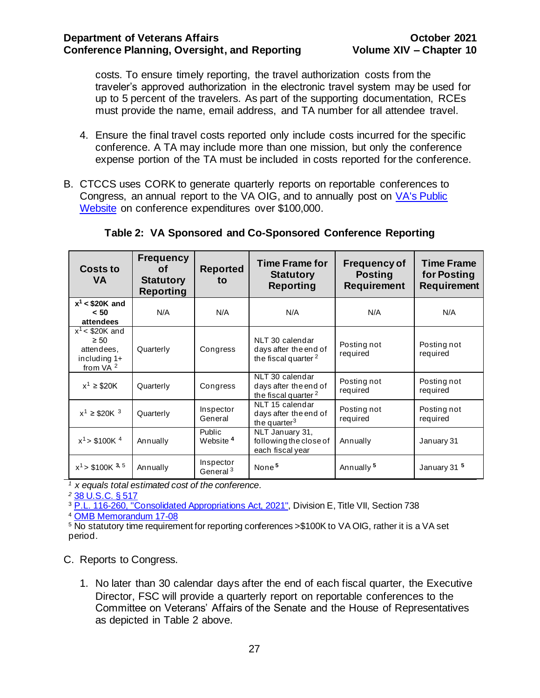costs. To ensure timely reporting, the travel authorization costs from the traveler's approved authorization in the electronic travel system may be used for up to 5 percent of the travelers. As part of the supporting documentation, RCEs must provide the name, email address, and TA number for all attendee travel.

- 4. Ensure the final travel costs reported only include costs incurred for the specific conference. A TA may include more than one mission, but only the conference expense portion of the TA must be included in costs reported for the conference.
- B. CTCCS uses CORK to generate quarterly reports on reportable conferences to Congress, an annual report to the VA OIG, and to annually post on [VA's Public](http://www.va.gov/about_va/va_notices.asp)  [Website](http://www.va.gov/about_va/va_notices.asp) on conference expenditures over \$100,000.

| <b>Costs to</b><br>VA                                                                  | <b>Frequency</b><br>Οf<br><b>Statutory</b><br><b>Reporting</b> | <b>Reported</b><br>to             | <b>Time Frame for</b><br><b>Statutory</b><br><b>Reporting</b>               | <b>Frequency of</b><br><b>Posting</b><br><b>Requirement</b> | <b>Time Frame</b><br>for Posting<br><b>Requirement</b> |
|----------------------------------------------------------------------------------------|----------------------------------------------------------------|-----------------------------------|-----------------------------------------------------------------------------|-------------------------------------------------------------|--------------------------------------------------------|
| $x^1$ < \$20K and<br>< 50<br>attendees                                                 | N/A                                                            | N/A                               | N/A                                                                         | N/A                                                         | N/A                                                    |
| $x^1$ < \$20K and<br>$\geq 50$<br>attendees.<br>including $1+$<br>from VA <sup>2</sup> | Quarterly                                                      | Congress                          | NLT 30 calendar<br>days after the end of<br>the fiscal quarter <sup>2</sup> | Posting not<br>required                                     | Posting not<br>required                                |
| $x^1 \geq $20K$                                                                        | Quarterly                                                      | Congress                          | NLT 30 calendar<br>days after the end of<br>the fiscal quarter <sup>2</sup> | Posting not<br>required                                     | Posting not<br>required                                |
| $x^1 \geq $20K^3$                                                                      | Quarterly                                                      | Inspector<br>General              | NLT 15 calendar<br>days after the end of<br>the quarter $3$                 | Posting not<br>required                                     | Posting not<br>required                                |
| $x^1$ > \$100K $^4$                                                                    | Annually                                                       | Public<br>Website <sup>4</sup>    | NLT January 31,<br>following the close of<br>each fiscal year               | Annually                                                    | January 31                                             |
| $x^1$ > \$100K <sup>3, 5</sup>                                                         | Annually                                                       | Inspector<br>General <sup>3</sup> | None <sup>5</sup>                                                           | Annually <sup>5</sup>                                       | January 31 <sup>5</sup>                                |

**Table 2: VA Sponsored and Co-Sponsored Conference Reporting**

*<sup>1</sup>x equals total estimated cost of the conference.*

*<sup>2</sup>* [38 U.S.C. § 517](https://www.gpo.gov/fdsys/pkg/USCODE-2014-title38/pdf/USCODE-2014-title38-partI-chap5-subchapI-sec517.pdf)

<sup>3</sup> [P.L. 116-260, "Consolidated Appropriations Act, 2021"](https://www.congress.gov/bill/116th-congress/house-bill/133/text), Division E, Title VII, Section 738

<sup>4</sup> [OMB Memorandum 17-08](https://www.whitehouse.gov/sites/whitehouse.gov/files/omb/memoranda/2017/m-17-08.pdf)

<sup>5</sup> No statutory time requirement for reporting conferences >\$100K to VA OIG, rather it is a VA set period.

C. Reports to Congress.

1. No later than 30 calendar days after the end of each fiscal quarter, the Executive Director, FSC will provide a quarterly report on reportable conferences to the Committee on Veterans' Affairs of the Senate and the House of Representatives as depicted in Table 2 above.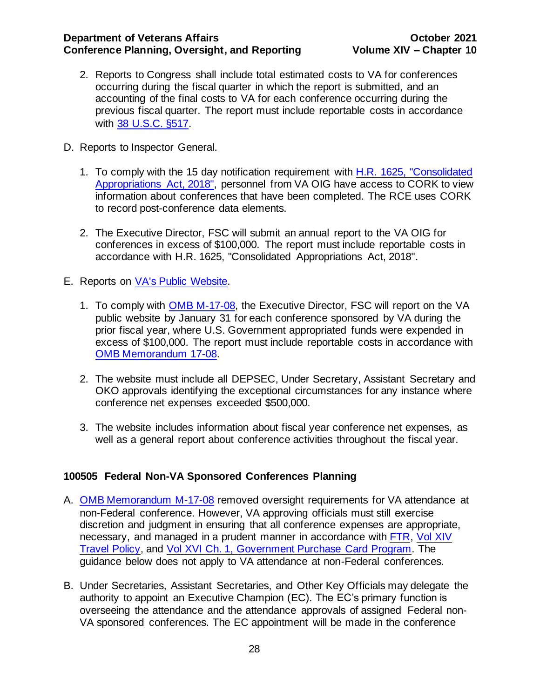- 2. Reports to Congress shall include total estimated costs to VA for conferences occurring during the fiscal quarter in which the report is submitted, and an accounting of the final costs to VA for each conference occurring during the previous fiscal quarter. The report must include reportable costs in accordance with [38 U.S.C. §517.](https://www.gpo.gov/fdsys/pkg/USCODE-2014-title38/pdf/USCODE-2014-title38-partI-chap5-subchapI-sec517.pdf)
- D. Reports to Inspector General.
	- 1. To comply with the 15 day notification requirement with [H.R. 1625, "Consolidated](https://www.congress.gov/115/bills/hr1625/BILLS-115hr1625enr.pdf)  [Appropriations Act, 2018",](https://www.congress.gov/115/bills/hr1625/BILLS-115hr1625enr.pdf) personnel from VA OIG have access to CORK to view information about conferences that have been completed. The RCE uses CORK to record post-conference data elements.
	- 2. The Executive Director, FSC will submit an annual report to the VA OIG for conferences in excess of \$100,000. The report must include reportable costs in accordance with [H.R. 1625, "Consolidated Appropriations Act, 2018".](https://www.congress.gov/115/bills/hr1625/BILLS-115hr1625enr.pdf)
- E. Reports on [VA's Public Website.](http://www.va.gov/about_va/va_notices.asp)
	- 1. To comply with [OMB M-17-08,](https://www.whitehouse.gov/sites/whitehouse.gov/files/omb/memoranda/2017/m-17-08.pdf) the Executive Director, FSC will report on the VA [public website](http://www.va.gov/about_va/va_notices.asp) by January 31 for each conference sponsored by VA during the prior fiscal year, where U.S. Government appropriated funds were expended in excess of \$100,000. The report must include reportable costs in accordance with [OMB Memorandum 17-08.](https://www.whitehouse.gov/sites/whitehouse.gov/files/omb/memoranda/2017/m-17-08.pdf)
	- 2. The website must include all DEPSEC, Under Secretary, Assistant Secretary and OKO approvals identifying the exceptional circumstances for any instance where conference net expenses exceeded \$500,000.
	- 3. The website includes information about fiscal year conference net expenses, as well as a general report about conference activities throughout the fiscal year.

# <span id="page-28-0"></span>**100505 Federal Non-VA Sponsored Conferences Planning**

- A. [OMB Memorandum M-17-08](https://www.whitehouse.gov/sites/whitehouse.gov/files/omb/memoranda/2017/m-17-08.pdf) removed oversight requirements for VA attendance at non-Federal conference. However, VA approving officials must still exercise discretion and judgment in ensuring that all conference expenses are appropriate, necessary, and managed in a prudent manner in accordance wit[h FTR,](https://www.gsa.gov/policy-regulations/regulations/federal-travel-regulation-ftr) [Vol XIV](http://www.va.gov/finance/policy/pubs/volumeXIV.asp)  [Travel Policy,](http://www.va.gov/finance/policy/pubs/volumeXIV.asp) and Vol XVI Ch. [1, Government Purchase Card Program.](http://www.va.gov/finance/docs/VA-FinancialPolicyVolumeXVIChapter01.pdf) The guidance below does not apply to VA attendance at non-Federal conferences.
- B. Under Secretaries, Assistant Secretaries, and Other Key Officials may delegate the authority to appoint an Executive Champion (EC). The EC's primary function is overseeing the attendance and the attendance approvals of assigned Federal non-VA sponsored conferences. The EC appointment will be made in the conference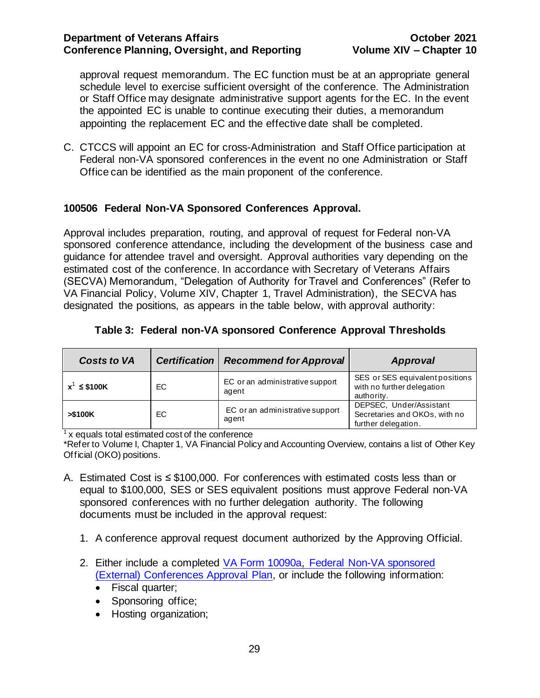approval request memorandum. The EC function must be at an appropriate general schedule level to exercise sufficient oversight of the conference. The Administration or Staff Office may designate administrative support agents for the EC. In the event the appointed EC is unable to continue executing their duties, a memorandum appointing the replacement EC and the effective date shall be completed.

C. CTCCS will appoint an EC for cross-Administration and Staff Office participation at Federal non-VA sponsored conferences in the event no one Administration or Staff Office can be identified as the main proponent of the conference.

# <span id="page-29-0"></span>**100506 Federal Non-VA Sponsored Conferences Approval.**

Approval includes preparation, routing, and approval of request for Federal non-VA sponsored conference attendance, including the development of the business case and guidance for attendee travel and oversight. Approval authorities vary depending on the estimated cost of the conference. In accordance with Secretary of Veterans Affairs (SECVA) Memorandum, "Delegation of Authority for Travel and Conferences" (Refer to VA Financial Policy, Volume XIV, Chapter 1, Travel Administration), the SECVA has designated the positions, as appears in the table below, with approval authority:

| <b>Costs to VA</b> | <b>Certification</b> | <b>Recommend for Approval</b>            | Approval                                                                        |
|--------------------|----------------------|------------------------------------------|---------------------------------------------------------------------------------|
| $x^1 \leq$ \$100K  | EC.                  | EC or an administrative support<br>agent | SES or SES equivalent positions<br>with no further delegation<br>authority.     |
| > \$100K           | EC.                  | EC or an administrative support<br>agent | DEPSEC, Under/Assistant<br>Secretaries and OKOs, with no<br>further delegation. |

# **Table 3: Federal non-VA sponsored Conference Approval Thresholds**

 $1$  x equals total estimated cost of the conference

\*Refer to Volume I, Chapter 1, VA Financial Policy and Accounting Overview, contains a list of Other Key Official (OKO) positions.

- <span id="page-29-1"></span>A. Estimated Cost is ≤ \$100,000. For conferences with estimated costs less than or equal to \$100,000, SES or SES equivalent positions must approve Federal non-VA sponsored conferences with no further delegation authority. The following documents must be included in the approval request:
	- 1. A conference approval request document authorized by the Approving Official.
	- 2. Either include a completed VA Form 10090a, [Federal Non-VA sponsored](http://vaww.va.gov/vaforms/va/pdf/VA10090a.pdf) [\(External\) Conferences Approval Plan,](http://vaww.va.gov/vaforms/va/pdf/VA10090a.pdf) or include the following information:
		- Fiscal quarter;
		- Sponsoring office;
		- Hosting organization;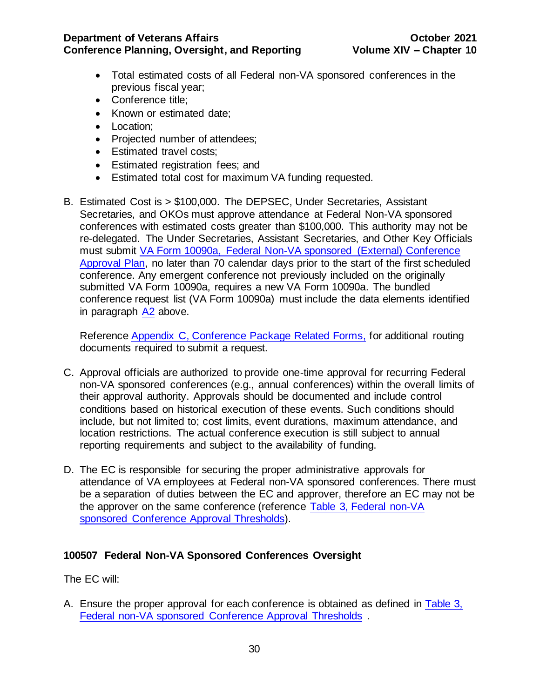- Total estimated costs of all Federal non-VA sponsored conferences in the previous fiscal year;
- Conference title;
- Known or estimated date;
- Location;
- Projected number of attendees;
- Estimated travel costs;
- Estimated registration fees; and
- Estimated total cost for maximum VA funding requested.
- B. Estimated Cost is > \$100,000. The DEPSEC, Under Secretaries, Assistant Secretaries, and OKOs must approve attendance at Federal Non-VA sponsored conferences with estimated costs greater than \$100,000. This authority may not be re-delegated. The Under Secretaries, Assistant Secretaries, and Other Key Officials must submit [VA Form 10090a,](http://vaww.va.gov/vaforms/va/pdf/VA10090a.pdf) Federal Non-VA sponsored (External) Conference Approval Plan, no later than 70 calendar days prior to the start of the first scheduled conference. Any emergent conference not previously included on the originally submitted VA Form 10090a, requires a new VA Form 10090a. The bundled conference request list (VA Form 10090a) must include the data elements identified in paragraph [A2](#page-29-1) above.

Reference [Appendix C, Conference Package Related Forms,](#page-50-0) for additional routing documents required to submit a request.

- C. Approval officials are authorized to provide one-time approval for recurring Federal non-VA sponsored conferences (e.g., annual conferences) within the overall limits of their approval authority. Approvals should be documented and include control conditions based on historical execution of these events. Such conditions should include, but not limited to; cost limits, event durations, maximum attendance, and location restrictions. The actual conference execution is still subject to annual reporting requirements and subject to the availability of funding.
- D. The EC is responsible for securing the proper administrative approvals for attendance of VA employees at Federal non-VA sponsored conferences. There must be a separation of duties between the EC and approver, therefore an EC may not be the approver on the same conference (reference [Table 3, Federal non-VA](#page-30-1)  sponsored [Conference Approval Thresholds\).](#page-30-1)

# <span id="page-30-0"></span>**100507 Federal Non-VA Sponsored Conferences Oversight**

The EC will:

<span id="page-30-1"></span>A. Ensure the proper approval for each conference is obtained as defined in [Table 3,](#page-30-1)  [Federal non-VA sponsored Conference Approval Thresholds](#page-30-1) .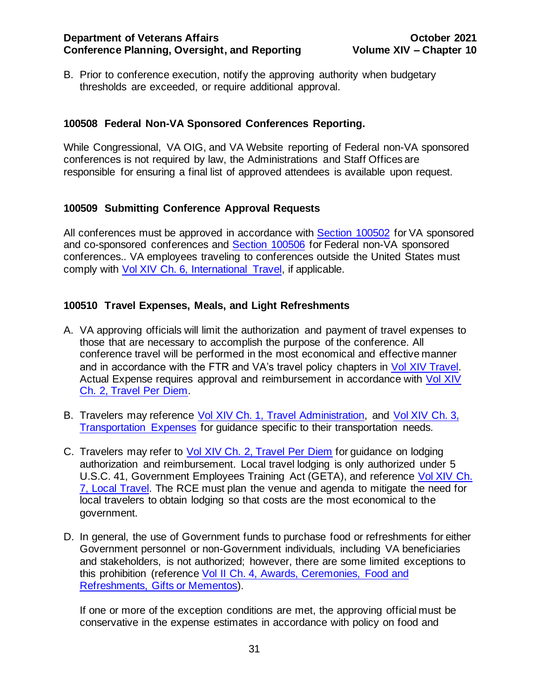B. Prior to conference execution, notify the approving authority when budgetary thresholds are exceeded, or require additional approval.

# <span id="page-31-0"></span>**100508 Federal Non-VA Sponsored Conferences Reporting.**

While Congressional, VA OIG, and VA Website reporting of Federal non-VA sponsored conferences is not required by law, the Administrations and Staff Offices are responsible for ensuring a final list of approved attendees is available upon request.

# <span id="page-31-1"></span>**100509 Submitting Conference Approval Requests**

All conferences must be approved in accordance with [Section 100502](#page-20-0) for VA sponsored and co-sponsored conferences and Section 100506 for Federal non-VA sponsored conferences.. VA employees traveling to conferences outside the United States must comply with Vol XIV Ch. [6, International Travel,](http://www.va.gov/finance/docs/VA-FinancialPolicyVolumeXIVChapter06.pdf) if applicable.

# <span id="page-31-2"></span>**100510 Travel Expenses, Meals, and Light Refreshments**

- A. VA approving officials will limit the authorization and payment of travel expenses to those that are necessary to accomplish the purpose of the conference. All conference travel will be performed in the most economical and effective manner and in accordance with the FTR and VA's travel policy chapters in [Vol XIV Travel.](http://www.va.gov/finance/policy/pubs/volumeXIV.asp) Actual Expense requires approval and reimbursement in accordance with [Vol XIV](http://www.va.gov/finance/docs/VA-FinancialPolicyVolumeXIVChapter02.pdf)  Ch. [2, Travel Per Diem.](http://www.va.gov/finance/docs/VA-FinancialPolicyVolumeXIVChapter02.pdf)
- B. Travelers may reference Vol XIV Ch. [1, Travel Administration,](http://www.va.gov/finance/docs/VA-FinancialPolicyVolumeXIVChapter01.pdf) and [Vol XIV Ch.](http://www.va.gov/finance/docs/VA-FinancialPolicyVolumeXIVChapter03.pdf) 3, [Transportation Expenses](http://www.va.gov/finance/docs/VA-FinancialPolicyVolumeXIVChapter03.pdf) for guidance specific to their transportation needs.
- C. Travelers may refer to **Vol XIV Ch. [2, Travel Per Diem](http://www.va.gov/finance/docs/VA-FinancialPolicyVolumeXIVChapter02.pdf)** for guidance on lodging authorization and reimbursement. Local travel lodging is only authorized under [5](https://www.gpo.gov/fdsys/pkg/USCODE-2011-title5/pdf/USCODE-2011-title5-partIII-subpartC-chap41-sec4109.pdf)  [U.S.C. 41,](https://www.gpo.gov/fdsys/pkg/USCODE-2011-title5/pdf/USCODE-2011-title5-partIII-subpartC-chap41-sec4109.pdf) [Government Employees Training](https://www.gpo.gov/fdsys/pkg/USCODE-2011-title5/pdf/USCODE-2011-title5-partIII-subpartC-chap41-sec4109.pdfhttps:/www.gpo.gov/fdsys/pkg/USCODE-2011-title5/pdf/USCODE-2011-title5-partIII-subpartC-chap41-sec4109.pdf) Act (GETA), and reference [Vol XIV Ch.](http://www.va.gov/finance/docs/VA-FinancialPolicyVolumeXIVChapter07.pdf) [7, Local Travel.](http://www.va.gov/finance/docs/VA-FinancialPolicyVolumeXIVChapter07.pdf) The RCE must plan the venue and agenda to mitigate the need for local travelers to obtain lodging so that costs are the most economical to the government.
- D. In general, the use of Government funds to purchase food or refreshments for either Government personnel or non-Government individuals, including VA beneficiaries and stakeholders, is not authorized; however, there are some limited exceptions to this prohibition (reference Vol II Ch. [4, Awards, Ceremonies, Food and](http://www.va.gov/finance/docs/VA-FinancialPolicyVolumeIIChapter04.pdf)  [Refreshments, Gifts or Mementos\)](http://www.va.gov/finance/docs/VA-FinancialPolicyVolumeIIChapter04.pdf).

If one or more of the exception conditions are met, the approving official must be conservative in the expense estimates in accordance with policy on food and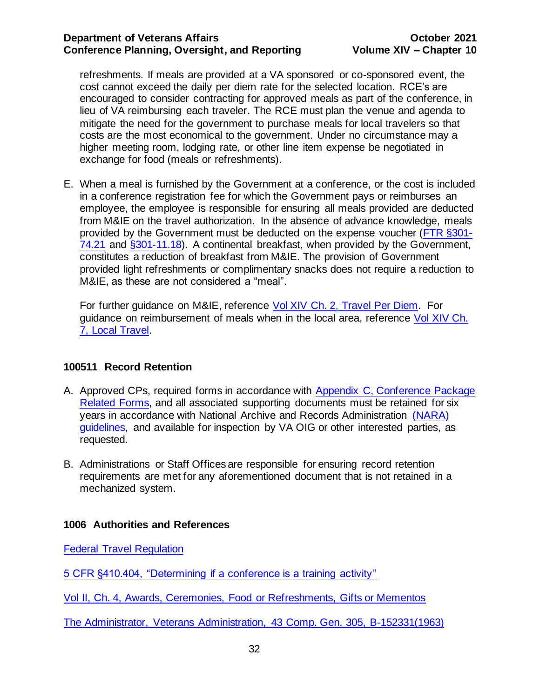refreshments. If meals are provided at a VA sponsored or co-sponsored event, the cost cannot exceed the daily per diem rate for the selected location. RCE's are encouraged to consider contracting for approved meals as part of the conference, in lieu of VA reimbursing each traveler. The RCE must plan the venue and agenda to mitigate the need for the government to purchase meals for local travelers so that costs are the most economical to the government. Under no circumstance may a higher meeting room, lodging rate, or other line item expense be negotiated in exchange for food (meals or refreshments).

E. When a meal is furnished by the Government at a conference, or the cost is included in a conference registration fee for which the Government pays or reimburses an employee, the employee is responsible for ensuring all meals provided are deducted from M&IE on the travel authorization. In the absence of advance knowledge, meals provided by the Government must be deducted on the expense voucher [\(FTR §301-](https://www.gsa.gov/policy-regulations/regulations/federal-travel-regulation-ftr?asset=122624) [74.21](https://www.gsa.gov/policy-regulations/regulations/federal-travel-regulation-ftr?asset=122624) and [§301-11.18\).](https://www.gsa.gov/policy-regulations/regulations/federal-travel-regulation-ftr?asset=122609) A continental breakfast, when provided by the Government, constitutes a reduction of breakfast from M&IE. The provision of Government provided light refreshments or complimentary snacks does not require a reduction to M&IE, as these are not considered a "meal".

For further guidance on M&IE, reference Vol XIV Ch. 2, [Travel Per Diem.](http://www.va.gov/finance/docs/VA-FinancialPolicyVolumeXIVChapter02.pdf) For guidance on reimbursement of meals when in the local area, reference [Vol XIV Ch.](https://www.va.gov/finance/docs/VA-FinancialPolicyVolumeXIVChapter07.pdf) [7, Local Travel.](https://www.va.gov/finance/docs/VA-FinancialPolicyVolumeXIVChapter07.pdf)

# <span id="page-32-0"></span>**100511 Record Retention**

- A. Approved CPs, required forms in accordance with [Appendix C, Conference Package](#page-50-0)  [Related Forms,](#page-50-0) and all associated supporting documents must be retained for six years in accordance with National Archive and Records Administration [\(NARA\)](http://www.archives.gov/records-mgmt/grs/grs01-1.pdf)  [guidelines,](http://www.archives.gov/records-mgmt/grs/grs01-1.pdf) and available for inspection by VA OIG or other interested parties, as requested.
- B. Administrations or Staff Offices are responsible for ensuring record retention requirements are met for any aforementioned document that is not retained in a mechanized system.

# <span id="page-32-1"></span>**1006 Authorities and References**

[Federal Travel Regulation](https://www.gsa.gov/policy-regulations/regulations/federal-travel-regulation-ftr?asset=102167)

[5 CFR §410.404, "Determining if a conference is a training activity"](http://www.gpo.gov/fdsys/pkg/CFR-2012-title5-vol1/xml/CFR-2012-title5-vol1-sec410-404.xml)

[Vol II, Ch. 4, Awards, Ceremonies, Food or Refreshments, Gifts or Mementos](http://www.va.gov/finance/docs/VA-FinancialPolicyVolumeIIChapter04.pdf)

[The Administrator, Veterans Administration,](https://www.gao.gov/products/445356) 43 Comp. Gen. 305, B-152331(1963)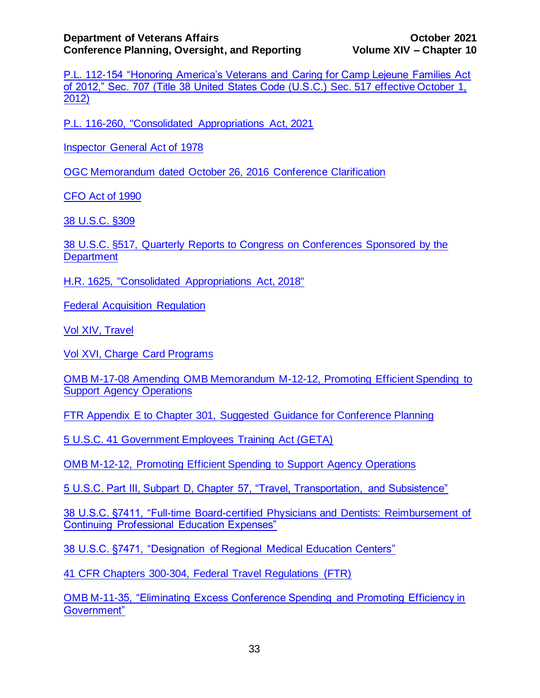[P.L. 112-154 "Honoring America's Veterans and Caring for Camp Lejeune Families Act](http://www.gpo.gov/fdsys/pkg/PLAW-112publ154/html/PLAW-112publ154.htm)  [of 2012," Sec. 707 \(Title 38 United States Code \(U.S.C.\) Sec. 517 effective October 1,](http://www.gpo.gov/fdsys/pkg/PLAW-112publ154/html/PLAW-112publ154.htm)  [2012\)](http://www.gpo.gov/fdsys/pkg/PLAW-112publ154/html/PLAW-112publ154.htm)

[P.L. 116-260, "Consolidated Appropriations Act, 2021](https://www.congress.gov/bill/116th-congress/house-bill/133/text)

[Inspector General Act of 1978](https://www.gpo.gov/fdsys/pkg/USCODE-2011-title5/pdf/USCODE-2011-title5-app-inspector.pdf)

[OGC Memorandum dated October 26, 2016](http://vaww.trainingevents.va.gov/TRAININGEVENTS/docs/WF%207713724%2002%20Response.pdf) Conference Clarification

[CFO Act of 1990](http://govinfo.library.unt.edu/npr/library/misc/cfo.html)

[38 U.S.C. §309](https://www.gpo.gov/fdsys/pkg/CPRT-112HPRT65875/pdf/CPRT-112HPRT65875.pdf)

[38 U.S.C. §517, Quarterly Reports to Congress on Conferences Sponsored by the](https://www.govinfo.gov/app/details/USCODE-2012-title38/USCODE-2012-title38-partI-chap5-subchapI-sec517)  **[Department](https://www.govinfo.gov/app/details/USCODE-2012-title38/USCODE-2012-title38-partI-chap5-subchapI-sec517)** 

[H.R. 1625, "Consolidated Appropriations Act, 2018"](https://www.congress.gov/bill/115th-congress/house-bill/1625)

[Federal Acquisition Regulation](https://www.acquisition.gov/browse/index/far)

[Vol XIV, Travel](http://www.va.gov/finance/policy/pubs/volumeXIV.asp)

[Vol XVI, Charge Card Programs](http://www.va.gov/finance/policy/pubs/volumeXVI.asp)

[OMB M-17-08 Amending OMB Memorandum M-12-12, Promoting Efficient Spending to](https://www.whitehouse.gov/sites/whitehouse.gov/files/omb/memoranda/2017/m-17-08.pdf)  [Support Agency Operations](https://www.whitehouse.gov/sites/whitehouse.gov/files/omb/memoranda/2017/m-17-08.pdf)

[FTR Appendix E to Chapter 301, Suggested Guidance for Conference Planning](https://www.gsa.gov/policy-regulations/regulations/federal-travel-regulation-ftr?asset=102271#i1191264)

[5 U.S.C. 41 Government Employees Training Act \(GETA\)](https://www.gpo.gov/fdsys/pkg/USCODE-2011-title5/pdf/USCODE-2011-title5-partIII-subpartC-chap41-sec4109.pdf)

[OMB M-12-12, Promoting Efficient Spending to Support Agency Operations](https://www.hhs.gov/sites/default/files/st-4253-m-17-08-amending-omb-memorandum-m-12-12-promoting-efficient-spending-to-support-agency-operations.pdf) 

[5 U.S.C. Part III, Subpart D, Chapter 57, "Travel, Transportation, and Subsistence"](http://www.gpo.gov/fdsys/pkg/USCODE-2012-title5/html/USCODE-2012-title5-partIII-subpartD-chap57.htm)

[38 U.S.C. §7411, "Full-time Board-certified Physicians and Dentists: Reimbursement of](http://www.gpo.gov/fdsys/pkg/USCODE-2011-title38/pdf/USCODE-2011-title38-partV-chap74-subchapI-sec7411.pdf)  [Continuing Professional Education Expenses"](http://www.gpo.gov/fdsys/pkg/USCODE-2011-title38/pdf/USCODE-2011-title38-partV-chap74-subchapI-sec7411.pdf)

[38 U.S.C. §7471, "Designation of Regional Medical Education Centers"](http://www.gpo.gov/fdsys/pkg/USCODE-2007-title38/pdf/USCODE-2007-title38-partV-chap74-subchapVI-sec7471.pdf)

[41 CFR Chapters 300-304, Federal Travel Regulations \(FTR\)](http://gsa.gov/portal/category/21222)

[OMB M-11-35, "Eliminating Excess Conference Spending and Promoting Efficiency in](https://www.whitehouse.gov/sites/whitehouse.gov/files/omb/memoranda/2011/m11-35.pdf)  [Government"](https://www.whitehouse.gov/sites/whitehouse.gov/files/omb/memoranda/2011/m11-35.pdf)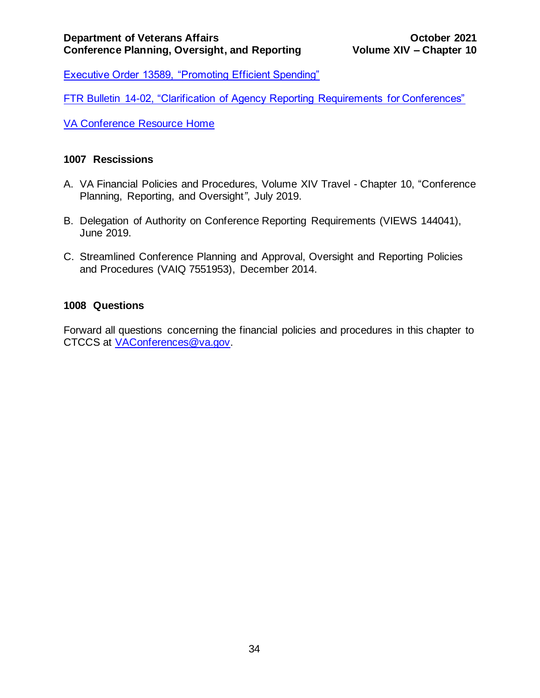[Executive Order 13589, "Promoting Efficient Spending"](https://www.gpo.gov/fdsys/pkg/FR-2011-11-15/pdf/2011-29683.pdf)

[FTR Bulletin 14-02, "Clarification of Agency Reporting Requirements for Conferences"](http://www.gsa.gov/portal/mediaId/183059/fileName/FTR_Bulletin_14-02_-_Clarification_of_Agency_Reporting_Requirements_for_Conferences.action)

VA [Conference Resource Home](http://vaww.trainingevents.va.gov/)

# <span id="page-34-0"></span>**1007 Rescissions**

- A. VA Financial Policies and Procedures, Volume XIV Travel Chapter 10, "Conference Planning, Reporting, and Oversight*"*, July 2019.
- B. Delegation of Authority on Conference Reporting Requirements (VIEWS 144041), June 2019.
- C. Streamlined Conference Planning and Approval, Oversight and Reporting Policies and Procedures (VAIQ 7551953), December 2014.

# <span id="page-34-1"></span>**1008 Questions**

Forward all questions concerning the financial policies and procedures in this chapter to CTCCS at [VAConferences@va.gov.](mailto:VAConferences@va.gov)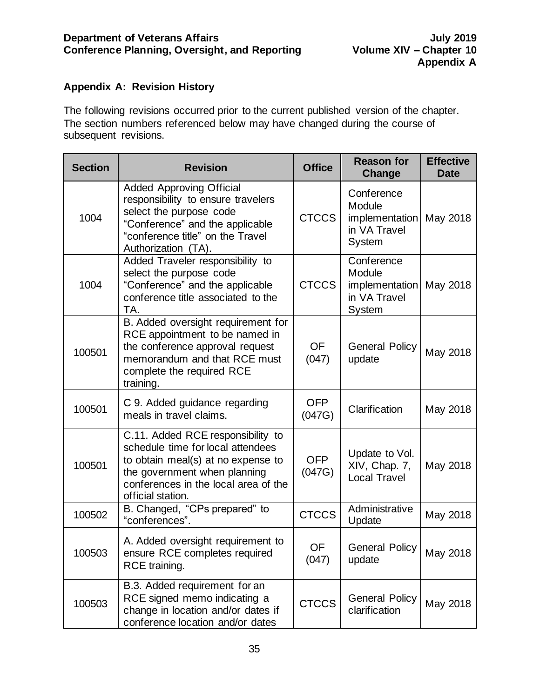# <span id="page-35-0"></span>**Appendix A: Revision History**

The following revisions occurred prior to the current published version of the chapter. The section numbers referenced below may have changed during the course of subsequent revisions.

| <b>Section</b> | <b>Revision</b>                                                                                                                                                                                           | <b>Office</b>        | <b>Reason for</b><br>Change                                             | <b>Effective</b><br><b>Date</b> |
|----------------|-----------------------------------------------------------------------------------------------------------------------------------------------------------------------------------------------------------|----------------------|-------------------------------------------------------------------------|---------------------------------|
| 1004           | <b>Added Approving Official</b><br>responsibility to ensure travelers<br>select the purpose code<br>"Conference" and the applicable<br>"conference title" on the Travel<br>Authorization (TA).            | <b>CTCCS</b>         | Conference<br>Module<br>implementation<br>in VA Travel<br><b>System</b> | May 2018                        |
| 1004           | Added Traveler responsibility to<br>select the purpose code<br>"Conference" and the applicable<br>conference title associated to the<br>TA.                                                               | <b>CTCCS</b>         | Conference<br>Module<br>implementation<br>in VA Travel<br><b>System</b> | May 2018                        |
| 100501         | B. Added oversight requirement for<br>RCE appointment to be named in<br>the conference approval request<br>memorandum and that RCE must<br>complete the required RCE<br>training.                         | <b>OF</b><br>(047)   | <b>General Policy</b><br>update                                         | May 2018                        |
| 100501         | C 9. Added guidance regarding<br>meals in travel claims.                                                                                                                                                  | <b>OFP</b><br>(047G) | Clarification                                                           | May 2018                        |
| 100501         | C.11. Added RCE responsibility to<br>schedule time for local attendees<br>to obtain meal(s) at no expense to<br>the government when planning<br>conferences in the local area of the<br>official station. | <b>OFP</b><br>(047G) | Update to Vol.<br>XIV, Chap. 7,<br><b>Local Travel</b>                  | May 2018                        |
| 100502         | B. Changed, "CPs prepared" to<br>"conferences".                                                                                                                                                           | <b>CTCCS</b>         | Administrative<br>Update                                                | May 2018                        |
| 100503         | A. Added oversight requirement to<br>ensure RCE completes required<br>RCE training.                                                                                                                       | OF<br>(047)          | <b>General Policy</b><br>update                                         | May 2018                        |
| 100503         | B.3. Added requirement for an<br>RCE signed memo indicating a<br>change in location and/or dates if<br>conference location and/or dates                                                                   | <b>CTCCS</b>         | <b>General Policy</b><br>clarification                                  | May 2018                        |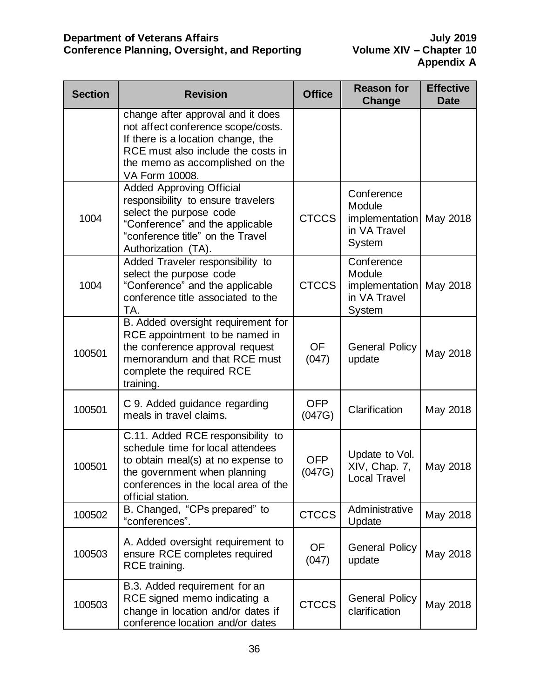| <b>Section</b> | <b>Revision</b>                                                                                                                                                                                           | <b>Office</b>        | <b>Reason for</b><br><b>Change</b>                                      | <b>Effective</b><br><b>Date</b> |
|----------------|-----------------------------------------------------------------------------------------------------------------------------------------------------------------------------------------------------------|----------------------|-------------------------------------------------------------------------|---------------------------------|
|                | change after approval and it does<br>not affect conference scope/costs.<br>If there is a location change, the<br>RCE must also include the costs in<br>the memo as accomplished on the<br>VA Form 10008.  |                      |                                                                         |                                 |
| 1004           | <b>Added Approving Official</b><br>responsibility to ensure travelers<br>select the purpose code<br>"Conference" and the applicable<br>"conference title" on the Travel<br>Authorization (TA).            | <b>CTCCS</b>         | Conference<br>Module<br>implementation<br>in VA Travel<br><b>System</b> | May 2018                        |
| 1004           | Added Traveler responsibility to<br>select the purpose code<br>"Conference" and the applicable<br>conference title associated to the<br>TA.                                                               | <b>CTCCS</b>         | Conference<br>Module<br>implementation<br>in VA Travel<br><b>System</b> | May 2018                        |
| 100501         | B. Added oversight requirement for<br>RCE appointment to be named in<br>the conference approval request<br>memorandum and that RCE must<br>complete the required RCE<br>training.                         | <b>OF</b><br>(047)   | <b>General Policy</b><br>update                                         | May 2018                        |
| 100501         | C 9. Added guidance regarding<br>meals in travel claims.                                                                                                                                                  | <b>OFP</b><br>(047G) | Clarification                                                           | May 2018                        |
| 100501         | C.11. Added RCE responsibility to<br>schedule time for local attendees<br>to obtain meal(s) at no expense to<br>the government when planning<br>conferences in the local area of the<br>official station. | <b>OFP</b><br>(047G) | Update to Vol.<br>XIV, Chap. 7,<br><b>Local Travel</b>                  | May 2018                        |
| 100502         | B. Changed, "CPs prepared" to<br>"conferences".                                                                                                                                                           | <b>CTCCS</b>         | Administrative<br>Update                                                | May 2018                        |
| 100503         | A. Added oversight requirement to<br>ensure RCE completes required<br>RCE training.                                                                                                                       | <b>OF</b><br>(047)   | <b>General Policy</b><br>update                                         | May 2018                        |
| 100503         | B.3. Added requirement for an<br>RCE signed memo indicating a<br>change in location and/or dates if<br>conference location and/or dates                                                                   | <b>CTCCS</b>         | <b>General Policy</b><br>clarification                                  | May 2018                        |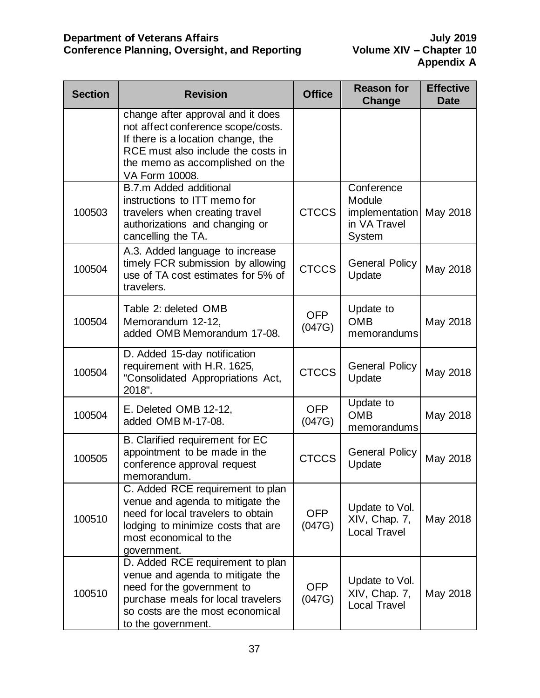| <b>Section</b> | <b>Revision</b>                                                                                                                                                                                          | <b>Office</b>        | <b>Reason for</b><br><b>Change</b>                               | <b>Effective</b><br><b>Date</b> |
|----------------|----------------------------------------------------------------------------------------------------------------------------------------------------------------------------------------------------------|----------------------|------------------------------------------------------------------|---------------------------------|
|                | change after approval and it does<br>not affect conference scope/costs.<br>If there is a location change, the<br>RCE must also include the costs in<br>the memo as accomplished on the<br>VA Form 10008. |                      |                                                                  |                                 |
| 100503         | B.7.m Added additional<br>instructions to ITT memo for<br>travelers when creating travel<br>authorizations and changing or<br>cancelling the TA.                                                         | <b>CTCCS</b>         | Conference<br>Module<br>implementation<br>in VA Travel<br>System | May 2018                        |
| 100504         | A.3. Added language to increase<br>timely FCR submission by allowing<br>use of TA cost estimates for 5% of<br>travelers.                                                                                 | <b>CTCCS</b>         | <b>General Policy</b><br>Update                                  | May 2018                        |
| 100504         | Table 2: deleted OMB<br>Memorandum 12-12,<br>added OMB Memorandum 17-08.                                                                                                                                 | <b>OFP</b><br>(047G) | Update to<br><b>OMB</b><br>memorandums                           | May 2018                        |
| 100504         | D. Added 15-day notification<br>requirement with H.R. 1625,<br>"Consolidated Appropriations Act,<br>2018".                                                                                               | <b>CTCCS</b>         | <b>General Policy</b><br>Update                                  | May 2018                        |
| 100504         | E. Deleted OMB 12-12,<br>added OMB M-17-08.                                                                                                                                                              | <b>OFP</b><br>(047G) | Update to<br><b>OMB</b><br>memorandums                           | May 2018                        |
| 100505         | B. Clarified requirement for EC<br>appointment to be made in the<br>conference approval request<br>memorandum.                                                                                           | <b>CTCCS</b>         | <b>General Policy</b><br>Update                                  | May 2018                        |
| 100510         | C. Added RCE requirement to plan<br>venue and agenda to mitigate the<br>need for local travelers to obtain<br>lodging to minimize costs that are<br>most economical to the<br>government.                | <b>OFP</b><br>(047G) | Update to Vol.<br>XIV, Chap. 7,<br><b>Local Travel</b>           | May 2018                        |
| 100510         | D. Added RCE requirement to plan<br>venue and agenda to mitigate the<br>need for the government to<br>purchase meals for local travelers<br>so costs are the most economical<br>to the government.       | <b>OFP</b><br>(047G) | Update to Vol.<br>XIV, Chap. 7,<br><b>Local Travel</b>           | May 2018                        |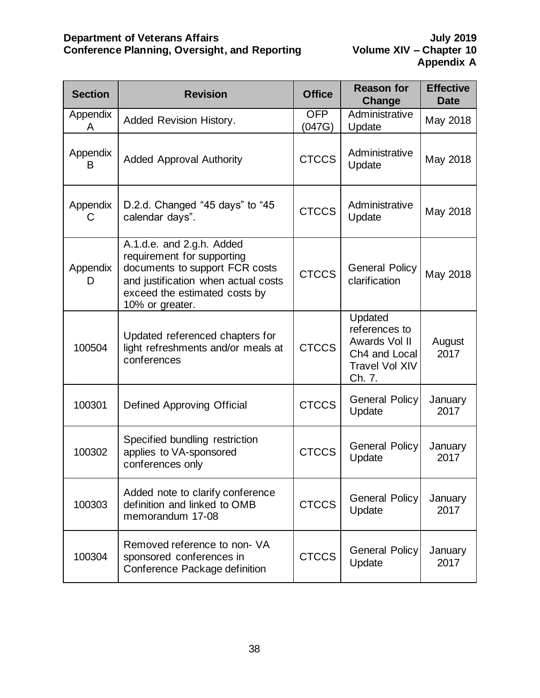| <b>Section</b> | <b>Revision</b>                                                                                                                                                                      | <b>Office</b>        | <b>Reason for</b><br>Change                                                                   | <b>Effective</b><br><b>Date</b> |
|----------------|--------------------------------------------------------------------------------------------------------------------------------------------------------------------------------------|----------------------|-----------------------------------------------------------------------------------------------|---------------------------------|
| Appendix<br>A  | Added Revision History.                                                                                                                                                              | <b>OFP</b><br>(047G) | Administrative<br>Update                                                                      | May 2018                        |
| Appendix<br>B  | <b>Added Approval Authority</b>                                                                                                                                                      | <b>CTCCS</b>         | Administrative<br>Update                                                                      | May 2018                        |
| Appendix<br>С  | D.2.d. Changed "45 days" to "45<br>calendar days".                                                                                                                                   | <b>CTCCS</b>         | Administrative<br>Update                                                                      | May 2018                        |
| Appendix<br>D  | A.1.d.e. and 2.g.h. Added<br>requirement for supporting<br>documents to support FCR costs<br>and justification when actual costs<br>exceed the estimated costs by<br>10% or greater. | <b>CTCCS</b>         | <b>General Policy</b><br>clarification                                                        | May 2018                        |
| 100504         | Updated referenced chapters for<br>light refreshments and/or meals at<br>conferences                                                                                                 | <b>CTCCS</b>         | Updated<br>references to<br>Awards Vol II<br>Ch4 and Local<br><b>Travel Vol XIV</b><br>Ch. 7. | August<br>2017                  |
| 100301         | Defined Approving Official                                                                                                                                                           | <b>CTCCS</b>         | <b>General Policy</b><br>Update                                                               | January<br>2017                 |
| 100302         | Specified bundling restriction<br>applies to VA-sponsored<br>conferences only                                                                                                        | <b>CTCCS</b>         | General Policy<br>Update                                                                      | January<br>2017                 |
| 100303         | Added note to clarify conference<br>definition and linked to OMB<br>memorandum 17-08                                                                                                 | <b>CTCCS</b>         | <b>General Policy</b><br>Update                                                               | January<br>2017                 |
| 100304         | Removed reference to non- VA<br>sponsored conferences in<br>Conference Package definition                                                                                            | <b>CTCCS</b>         | <b>General Policy</b><br>Update                                                               | January<br>2017                 |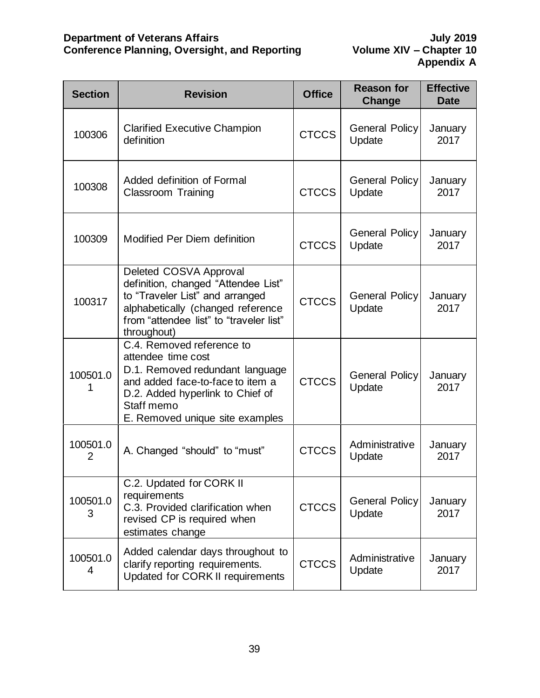| <b>Section</b> | <b>Revision</b>                                                                                                                                                                                             | <b>Office</b> | <b>Reason for</b><br>Change     | <b>Effective</b><br><b>Date</b> |
|----------------|-------------------------------------------------------------------------------------------------------------------------------------------------------------------------------------------------------------|---------------|---------------------------------|---------------------------------|
| 100306         | <b>Clarified Executive Champion</b><br>definition                                                                                                                                                           | <b>CTCCS</b>  | <b>General Policy</b><br>Update | January<br>2017                 |
| 100308         | Added definition of Formal<br><b>Classroom Training</b>                                                                                                                                                     | <b>CTCCS</b>  | <b>General Policy</b><br>Update | January<br>2017                 |
| 100309         | Modified Per Diem definition                                                                                                                                                                                | <b>CTCCS</b>  | <b>General Policy</b><br>Update | January<br>2017                 |
| 100317         | Deleted COSVA Approval<br>definition, changed "Attendee List"<br>to "Traveler List" and arranged<br>alphabetically (changed reference<br>from "attendee list" to "traveler list"<br>throughout)             | <b>CTCCS</b>  | <b>General Policy</b><br>Update | January<br>2017                 |
| 100501.0<br>1  | C.4. Removed reference to<br>attendee time cost<br>D.1. Removed redundant language<br>and added face-to-face to item a<br>D.2. Added hyperlink to Chief of<br>Staff memo<br>E. Removed unique site examples | <b>CTCCS</b>  | <b>General Policy</b><br>Update | January<br>2017                 |
| 100501.0<br>2  | A. Changed "should" to "must"                                                                                                                                                                               | <b>CTCCS</b>  | Administrative<br>Update        | January<br>2017                 |
| 100501.0<br>3  | C.2. Updated for CORK II<br>requirements<br>C.3. Provided clarification when<br>revised CP is required when<br>estimates change                                                                             | <b>CTCCS</b>  | <b>General Policy</b><br>Update | January<br>2017                 |
| 100501.0<br>4  | Added calendar days throughout to<br>clarify reporting requirements.<br>Updated for CORK II requirements                                                                                                    | <b>CTCCS</b>  | Administrative<br>Update        | January<br>2017                 |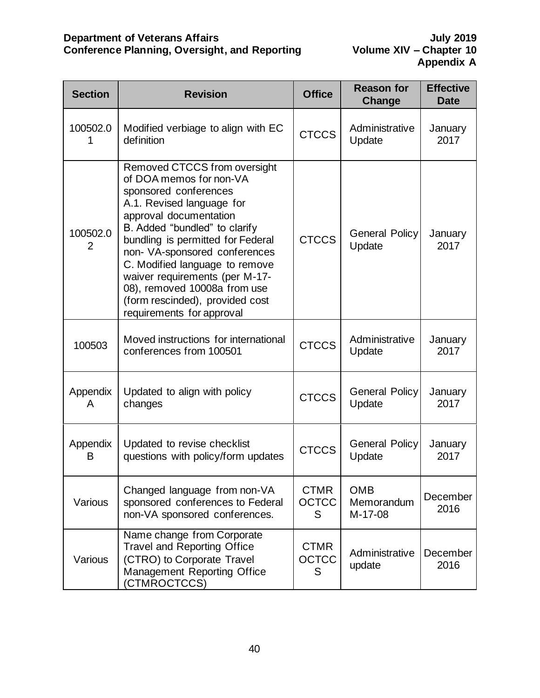| <b>Section</b> | <b>Revision</b>                                                                                                                                                                                                                                                                                                                                                                                                    | <b>Office</b>                    | <b>Reason for</b><br>Change         | <b>Effective</b><br><b>Date</b> |
|----------------|--------------------------------------------------------------------------------------------------------------------------------------------------------------------------------------------------------------------------------------------------------------------------------------------------------------------------------------------------------------------------------------------------------------------|----------------------------------|-------------------------------------|---------------------------------|
| 100502.0       | Modified verbiage to align with EC<br>definition                                                                                                                                                                                                                                                                                                                                                                   | <b>CTCCS</b>                     | Administrative<br>Update            | January<br>2017                 |
| 100502.0<br>2  | Removed CTCCS from oversight<br>of DOA memos for non-VA<br>sponsored conferences<br>A.1. Revised language for<br>approval documentation<br>B. Added "bundled" to clarify<br>bundling is permitted for Federal<br>non- VA-sponsored conferences<br>C. Modified language to remove<br>waiver requirements (per M-17-<br>08), removed 10008a from use<br>(form rescinded), provided cost<br>requirements for approval | <b>CTCCS</b>                     | <b>General Policy</b><br>Update     | January<br>2017                 |
| 100503         | Moved instructions for international<br>conferences from 100501                                                                                                                                                                                                                                                                                                                                                    | <b>CTCCS</b>                     | Administrative<br>Update            | January<br>2017                 |
| Appendix<br>A  | Updated to align with policy<br>changes                                                                                                                                                                                                                                                                                                                                                                            | <b>CTCCS</b>                     | <b>General Policy</b><br>Update     | January<br>2017                 |
| Appendix<br>В  | Updated to revise checklist<br>questions with policy/form updates                                                                                                                                                                                                                                                                                                                                                  | <b>CTCCS</b>                     | <b>General Policy</b><br>Update     | January<br>2017                 |
| Various        | Changed language from non-VA<br>sponsored conferences to Federal<br>non-VA sponsored conferences.                                                                                                                                                                                                                                                                                                                  | <b>CTMR</b><br><b>OCTCC</b><br>S | <b>OMB</b><br>Memorandum<br>M-17-08 | December<br>2016                |
| Various        | Name change from Corporate<br><b>Travel and Reporting Office</b><br>(CTRO) to Corporate Travel<br>Management Reporting Office<br>(CTMROCTCCS)                                                                                                                                                                                                                                                                      | <b>CTMR</b><br><b>OCTCC</b><br>S | Administrative<br>update            | December<br>2016                |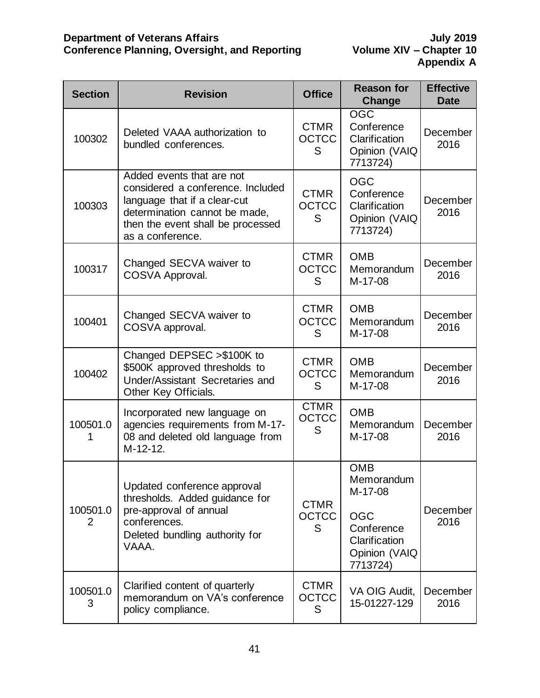| <b>Section</b> | <b>Revision</b>                                                                                                                                                                          | <b>Office</b>                    | <b>Reason for</b><br>Change                                                                                   | <b>Effective</b><br><b>Date</b> |
|----------------|------------------------------------------------------------------------------------------------------------------------------------------------------------------------------------------|----------------------------------|---------------------------------------------------------------------------------------------------------------|---------------------------------|
| 100302         | Deleted VAAA authorization to<br>bundled conferences.                                                                                                                                    | <b>CTMR</b><br><b>OCTCC</b><br>S | <b>OGC</b><br>Conference<br>Clarification<br>Opinion (VAIQ<br>7713724)                                        | December<br>2016                |
| 100303         | Added events that are not<br>considered a conference. Included<br>language that if a clear-cut<br>determination cannot be made,<br>then the event shall be processed<br>as a conference. | <b>CTMR</b><br><b>OCTCC</b><br>S | <b>OGC</b><br>Conference<br>Clarification<br>Opinion (VAIQ<br>7713724)                                        | December<br>2016                |
| 100317         | Changed SECVA waiver to<br>COSVA Approval.                                                                                                                                               | <b>CTMR</b><br><b>OCTCC</b><br>S | <b>OMB</b><br>Memorandum<br>M-17-08                                                                           | December<br>2016                |
| 100401         | Changed SECVA waiver to<br>COSVA approval.                                                                                                                                               | <b>CTMR</b><br><b>OCTCC</b><br>S | <b>OMB</b><br>Memorandum<br>M-17-08                                                                           | December<br>2016                |
| 100402         | Changed DEPSEC > \$100K to<br>\$500K approved thresholds to<br>Under/Assistant Secretaries and<br>Other Key Officials.                                                                   | <b>CTMR</b><br><b>OCTCC</b><br>S | <b>OMB</b><br>Memorandum<br>M-17-08                                                                           | December<br>2016                |
| 100501.0       | Incorporated new language on<br>agencies requirements from M-17-<br>08 and deleted old language from<br>M-12-12.                                                                         | <b>CTMR</b><br><b>OCTCC</b><br>S | <b>OMB</b><br>Memorandum<br>M-17-08                                                                           | December<br>2016                |
| 100501.0<br>2  | Updated conference approval<br>thresholds. Added guidance for<br>pre-approval of annual<br>conferences.<br>Deleted bundling authority for<br>VAAA.                                       | <b>CTMR</b><br><b>OCTCC</b><br>S | <b>OMB</b><br>Memorandum<br>M-17-08<br><b>OGC</b><br>Conference<br>Clarification<br>Opinion (VAIQ<br>7713724) | December<br>2016                |
| 100501.0<br>3  | Clarified content of quarterly<br>memorandum on VA's conference<br>policy compliance.                                                                                                    | <b>CTMR</b><br><b>OCTCC</b><br>S | VA OIG Audit,<br>15-01227-129                                                                                 | December<br>2016                |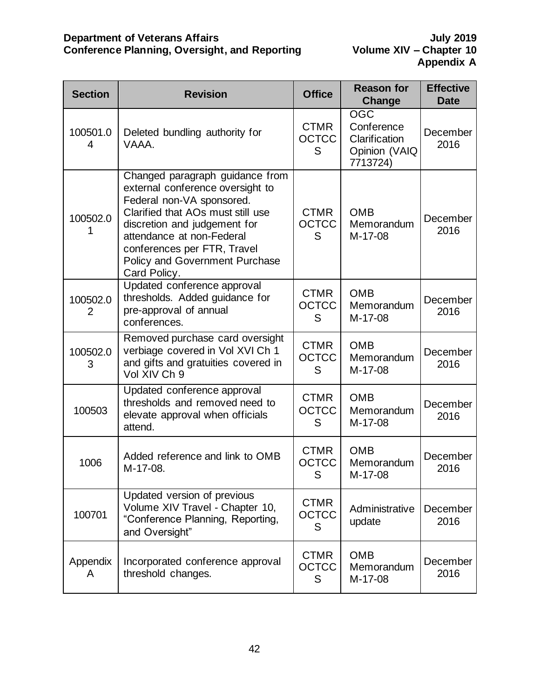| <b>Section</b> | <b>Revision</b>                                                                                                                                                                                                                                                                            | <b>Office</b>                    | <b>Reason for</b><br>Change                                            | <b>Effective</b><br><b>Date</b> |
|----------------|--------------------------------------------------------------------------------------------------------------------------------------------------------------------------------------------------------------------------------------------------------------------------------------------|----------------------------------|------------------------------------------------------------------------|---------------------------------|
| 100501.0<br>4  | Deleted bundling authority for<br>VAAA.                                                                                                                                                                                                                                                    | <b>CTMR</b><br><b>OCTCC</b><br>S | <b>OGC</b><br>Conference<br>Clarification<br>Opinion (VAIQ<br>7713724) | December<br>2016                |
| 100502.0       | Changed paragraph guidance from<br>external conference oversight to<br>Federal non-VA sponsored.<br>Clarified that AOs must still use<br>discretion and judgement for<br>attendance at non-Federal<br>conferences per FTR, Travel<br><b>Policy and Government Purchase</b><br>Card Policy. | <b>CTMR</b><br><b>OCTCC</b><br>S | <b>OMB</b><br>Memorandum<br>M-17-08                                    | December<br>2016                |
| 100502.0<br>2  | Updated conference approval<br>thresholds. Added guidance for<br>pre-approval of annual<br>conferences.                                                                                                                                                                                    | <b>CTMR</b><br><b>OCTCC</b><br>S | <b>OMB</b><br>Memorandum<br>M-17-08                                    | December<br>2016                |
| 100502.0<br>3  | Removed purchase card oversight<br>verbiage covered in Vol XVI Ch 1<br>and gifts and gratuities covered in<br>Vol XIV Ch 9                                                                                                                                                                 | <b>CTMR</b><br><b>OCTCC</b><br>S | <b>OMB</b><br>Memorandum<br>M-17-08                                    | December<br>2016                |
| 100503         | Updated conference approval<br>thresholds and removed need to<br>elevate approval when officials<br>attend.                                                                                                                                                                                | <b>CTMR</b><br><b>OCTCC</b><br>S | <b>OMB</b><br>Memorandum<br>M-17-08                                    | December<br>2016                |
| 1006           | Added reference and link to OMB<br>M-17-08.                                                                                                                                                                                                                                                | <b>CTMR</b><br><b>OCTCC</b><br>S | <b>OMB</b><br>Memorandum<br>M-17-08                                    | December<br>2016                |
| 100701         | Updated version of previous<br>Volume XIV Travel - Chapter 10,<br>"Conference Planning, Reporting,<br>and Oversight"                                                                                                                                                                       | <b>CTMR</b><br><b>OCTCC</b><br>S | Administrative<br>update                                               | December<br>2016                |
| Appendix<br>A  | Incorporated conference approval<br>threshold changes.                                                                                                                                                                                                                                     | <b>CTMR</b><br><b>OCTCC</b><br>S | <b>OMB</b><br>Memorandum<br>M-17-08                                    | December<br>2016                |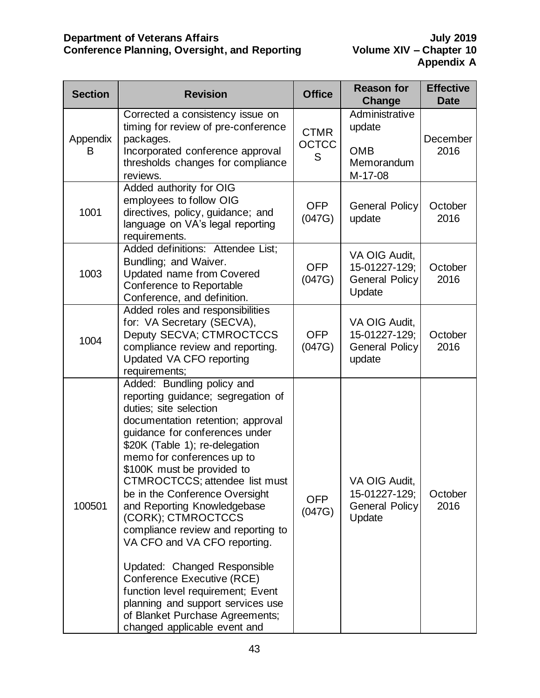| <b>Section</b> | <b>Revision</b>                                                                                                                                                                                                                                                                                                                                                                                                                                                                                                                                                                                                                                                           | <b>Office</b>                    | <b>Reason for</b><br><b>Change</b>                                | <b>Effective</b><br><b>Date</b> |
|----------------|---------------------------------------------------------------------------------------------------------------------------------------------------------------------------------------------------------------------------------------------------------------------------------------------------------------------------------------------------------------------------------------------------------------------------------------------------------------------------------------------------------------------------------------------------------------------------------------------------------------------------------------------------------------------------|----------------------------------|-------------------------------------------------------------------|---------------------------------|
| Appendix<br>B  | Corrected a consistency issue on<br>timing for review of pre-conference<br>packages.<br>Incorporated conference approval<br>thresholds changes for compliance<br>reviews.                                                                                                                                                                                                                                                                                                                                                                                                                                                                                                 | <b>CTMR</b><br><b>OCTCC</b><br>S | Administrative<br>update<br><b>OMB</b><br>Memorandum<br>M-17-08   | December<br>2016                |
| 1001           | Added authority for OIG<br>employees to follow OIG<br>directives, policy, guidance; and<br>language on VA's legal reporting<br>requirements.                                                                                                                                                                                                                                                                                                                                                                                                                                                                                                                              | <b>OFP</b><br>(047G)             | <b>General Policy</b><br>update                                   | October<br>2016                 |
| 1003           | Added definitions: Attendee List;<br>Bundling; and Waiver.<br><b>Updated name from Covered</b><br>Conference to Reportable<br>Conference, and definition.                                                                                                                                                                                                                                                                                                                                                                                                                                                                                                                 | <b>OFP</b><br>(047G)             | VA OIG Audit,<br>15-01227-129;<br><b>General Policy</b><br>Update | October<br>2016                 |
| 1004           | Added roles and responsibilities<br>for: VA Secretary (SECVA),<br>Deputy SECVA; CTMROCTCCS<br>compliance review and reporting.<br>Updated VA CFO reporting<br>requirements;                                                                                                                                                                                                                                                                                                                                                                                                                                                                                               | <b>OFP</b><br>(047G)             | VA OIG Audit,<br>15-01227-129;<br><b>General Policy</b><br>update | October<br>2016                 |
| 100501         | Added: Bundling policy and<br>reporting guidance; segregation of<br>duties; site selection<br>documentation retention; approval<br>guidance for conferences under<br>\$20K (Table 1); re-delegation<br>memo for conferences up to<br>\$100K must be provided to<br>CTMROCTCCS; attendee list must<br>be in the Conference Oversight<br>and Reporting Knowledgebase<br>(CORK); CTMROCTCCS<br>compliance review and reporting to<br>VA CFO and VA CFO reporting.<br>Updated: Changed Responsible<br>Conference Executive (RCE)<br>function level requirement; Event<br>planning and support services use<br>of Blanket Purchase Agreements;<br>changed applicable event and | <b>OFP</b><br>(047G)             | VA OIG Audit,<br>15-01227-129;<br><b>General Policy</b><br>Update | October<br>2016                 |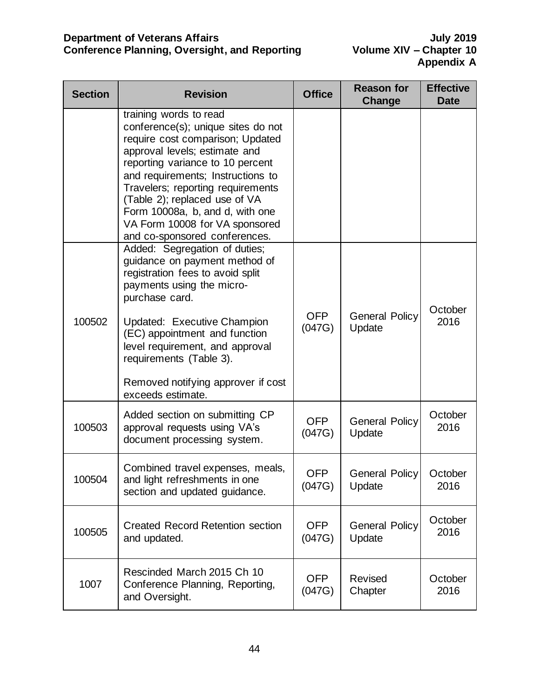| <b>Section</b> | <b>Revision</b>                                                                                                                                                                                                                                                                                                                                                                        | <b>Office</b>        | <b>Reason for</b><br>Change        | <b>Effective</b><br><b>Date</b> |
|----------------|----------------------------------------------------------------------------------------------------------------------------------------------------------------------------------------------------------------------------------------------------------------------------------------------------------------------------------------------------------------------------------------|----------------------|------------------------------------|---------------------------------|
|                | training words to read<br>conference(s); unique sites do not<br>require cost comparison; Updated<br>approval levels; estimate and<br>reporting variance to 10 percent<br>and requirements; Instructions to<br>Travelers; reporting requirements<br>(Table 2); replaced use of VA<br>Form 10008a, b, and d, with one<br>VA Form 10008 for VA sponsored<br>and co-sponsored conferences. |                      |                                    |                                 |
| 100502         | Added: Segregation of duties;<br>guidance on payment method of<br>registration fees to avoid split<br>payments using the micro-<br>purchase card.<br>Updated: Executive Champion<br>(EC) appointment and function<br>level requirement, and approval<br>requirements (Table 3).<br>Removed notifying approver if cost<br>exceeds estimate.                                             | <b>OFP</b><br>(047G) | <b>General Policy</b><br>Update    | October<br>2016                 |
| 100503         | Added section on submitting CP<br>approval requests using VA's<br>document processing system.                                                                                                                                                                                                                                                                                          | <b>OFP</b><br>(047G) | <b>General Policy</b><br>Update    | October<br>2016                 |
| 100504         | Combined travel expenses, meals,<br>and light refreshments in one<br>section and updated guidance.                                                                                                                                                                                                                                                                                     | <b>OFP</b><br>(047G) | General Policy   October<br>Update | 2016                            |
| 100505         | <b>Created Record Retention section</b><br>and updated.                                                                                                                                                                                                                                                                                                                                | <b>OFP</b><br>(047G) | <b>General Policy</b><br>Update    | October<br>2016                 |
| 1007           | Rescinded March 2015 Ch 10<br>Conference Planning, Reporting,<br>and Oversight.                                                                                                                                                                                                                                                                                                        | <b>OFP</b><br>(047G) | <b>Revised</b><br>Chapter          | October<br>2016                 |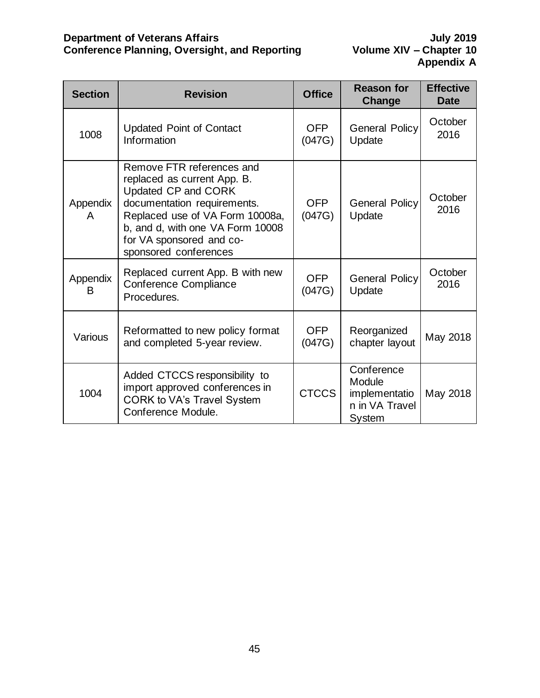| <b>Section</b> | <b>Revision</b>                                                                                                                                                                                                                            | <b>Office</b>        | <b>Reason for</b><br><b>Change</b>                                | <b>Effective</b><br>Date |
|----------------|--------------------------------------------------------------------------------------------------------------------------------------------------------------------------------------------------------------------------------------------|----------------------|-------------------------------------------------------------------|--------------------------|
| 1008           | <b>Updated Point of Contact</b><br>Information                                                                                                                                                                                             | <b>OFP</b><br>(047G) | <b>General Policy</b><br>Update                                   | October<br>2016          |
| Appendix<br>A  | Remove FTR references and<br>replaced as current App. B.<br>Updated CP and CORK<br>documentation requirements.<br>Replaced use of VA Form 10008a,<br>b, and d, with one VA Form 10008<br>for VA sponsored and co-<br>sponsored conferences | <b>OFP</b><br>(047G) | <b>General Policy</b><br>Update                                   | October<br>2016          |
| Appendix<br>в  | Replaced current App. B with new<br><b>Conference Compliance</b><br>Procedures.                                                                                                                                                            | <b>OFP</b><br>(047G) | <b>General Policy</b><br>Update                                   | October<br>2016          |
| Various        | Reformatted to new policy format<br>and completed 5-year review.                                                                                                                                                                           | <b>OFP</b><br>(047G) | Reorganized<br>chapter layout                                     | May 2018                 |
| 1004           | Added CTCCS responsibility to<br>import approved conferences in<br><b>CORK to VA's Travel System</b><br>Conference Module.                                                                                                                 | <b>CTCCS</b>         | Conference<br>Module<br>implementatio<br>n in VA Travel<br>System | May 2018                 |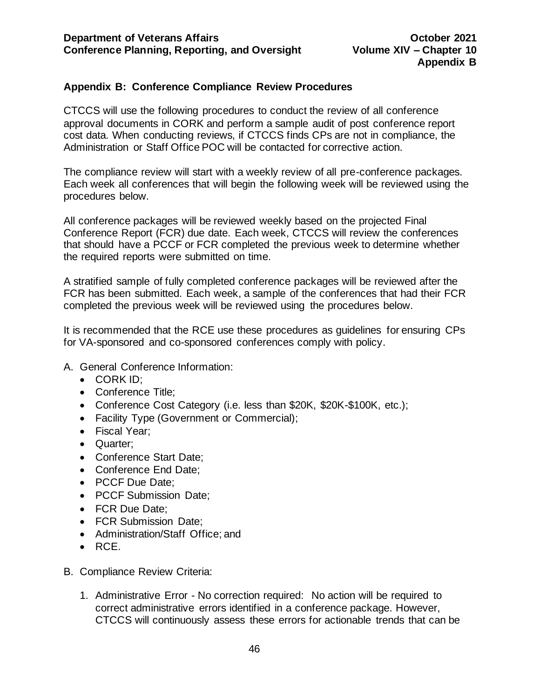# <span id="page-46-0"></span>**Appendix B: Conference Compliance Review Procedures**

CTCCS will use the following procedures to conduct the review of all conference approval documents in CORK and perform a sample audit of post conference report cost data. When conducting reviews, if CTCCS finds CPs are not in compliance, the Administration or Staff Office POC will be contacted for corrective action.

The compliance review will start with a weekly review of all pre-conference packages. Each week all conferences that will begin the following week will be reviewed using the procedures below.

All conference packages will be reviewed weekly based on the projected Final Conference Report (FCR) due date. Each week, CTCCS will review the conferences that should have a PCCF or FCR completed the previous week to determine whether the required reports were submitted on time.

A stratified sample of fully completed conference packages will be reviewed after the FCR has been submitted. Each week, a sample of the conferences that had their FCR completed the previous week will be reviewed using the procedures below.

It is recommended that the RCE use these procedures as guidelines for ensuring CPs for VA-sponsored and co-sponsored conferences comply with policy.

- A. General Conference Information:
	- CORK ID:
	- Conference Title;
	- Conference Cost Category (i.e. less than \$20K, \$20K-\$100K, etc.);
	- Facility Type (Government or Commercial);
	- Fiscal Year;
	- Quarter;
	- Conference Start Date;
	- Conference End Date;
	- PCCF Due Date;
	- PCCF Submission Date;
	- FCR Due Date;
	- FCR Submission Date;
	- Administration/Staff Office; and
	- RCE.
- B. Compliance Review Criteria:
	- 1. Administrative Error No correction required: No action will be required to correct administrative errors identified in a conference package. However, CTCCS will continuously assess these errors for actionable trends that can be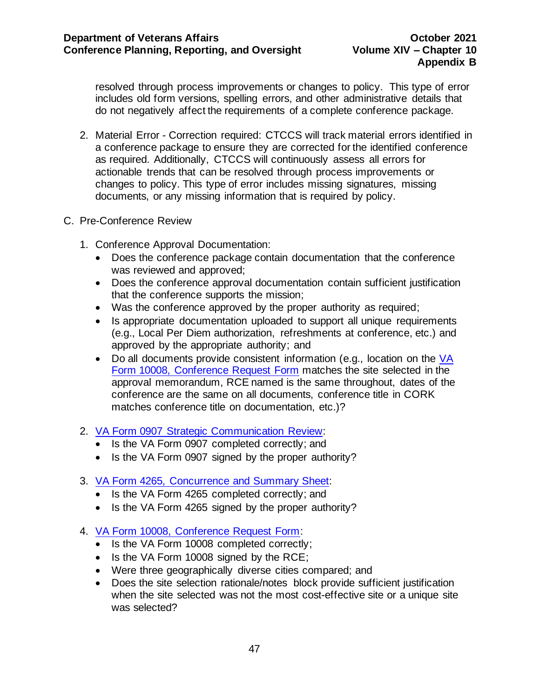resolved through process improvements or changes to policy. This type of error includes old form versions, spelling errors, and other administrative details that do not negatively affect the requirements of a complete conference package.

2. Material Error - Correction required: CTCCS will track material errors identified in a conference package to ensure they are corrected for the identified conference as required. Additionally, CTCCS will continuously assess all errors for actionable trends that can be resolved through process improvements or changes to policy. This type of error includes missing signatures, missing documents, or any missing information that is required by policy.

# C. Pre-Conference Review

- 1. Conference Approval Documentation:
	- Does the conference package contain documentation that the conference was reviewed and approved;
	- Does the conference approval documentation contain sufficient justification that the conference supports the mission;
	- Was the conference approved by the proper authority as required;
	- Is appropriate documentation uploaded to support all unique requirements (e.g., Local Per Diem authorization, refreshments at conference, etc.) and approved by the appropriate authority; and
	- Do all documents provide consistent information (e.g., location on the  $VA$ [Form 10008, Conference Request Form](http://vaww.va.gov/vaforms/va/pdf/VA10008.pdf) matches the site selected in the approval memorandum, RCE named is the same throughout, dates of the conference are the same on all documents, conference title in CORK matches conference title on documentation, etc.)?
- 2. VA Form 0907 [Strategic Communication Review:](http://vaww.va.gov/vaforms/va/pdf/VA0907.pdf)
	- Is the VA Form 0907 completed correctly; and
	- Is the VA Form 0907 signed by the proper authority?
- 3. [VA Form 4265, Concurrence and Summary Sheet:](http://vaww.va.gov/vaforms/va/pdf/VA4265.pdf)
	- Is the VA Form 4265 completed correctly; and
	- Is the VA Form 4265 signed by the proper authority?
- 4. [VA Form 10008, Conference Request Form:](http://vaww.va.gov/vaforms/va/pdf/VA10008.pdf)
	- Is the VA Form 10008 completed correctly;
	- Is the VA Form 10008 signed by the RCE;
	- Were three geographically diverse cities compared; and
	- Does the site selection rationale/notes block provide sufficient justification when the site selected was not the most cost-effective site or a unique site was selected?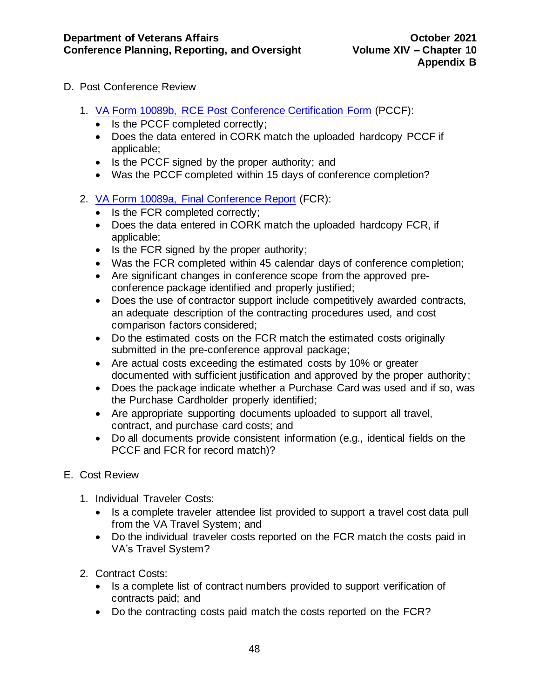- D. Post Conference Review
	- 1. [VA Form 10089b, RCE](http://vaww.va.gov/vaforms/va/pdf/VA10089b.pdf) Post Conference Certification Form (PCCF):
		- Is the PCCF completed correctly;
		- Does the data entered in CORK match the uploaded hardcopy PCCF if applicable;
		- Is the PCCF signed by the proper authority; and
		- Was the PCCF completed within 15 days of conference completion?
	- 2. [VA Form 10089a, Final Conference Report](http://vaww.va.gov/vaforms/va/pdf/VA10089a.pdf) (FCR):
		- Is the FCR completed correctly;
		- Does the data entered in CORK match the uploaded hardcopy FCR, if applicable;
		- Is the FCR signed by the proper authority;
		- Was the FCR completed within 45 calendar days of conference completion;
		- Are significant changes in conference scope from the approved preconference package identified and properly justified;
		- Does the use of contractor support include competitively awarded contracts, an adequate description of the contracting procedures used, and cost comparison factors considered;
		- Do the estimated costs on the FCR match the estimated costs originally submitted in the pre-conference approval package;
		- Are actual costs exceeding the estimated costs by 10% or greater documented with sufficient justification and approved by the proper authority;
		- Does the package indicate whether a Purchase Card was used and if so, was the Purchase Cardholder properly identified;
		- Are appropriate supporting documents uploaded to support all travel, contract, and purchase card costs; and
		- Do all documents provide consistent information (e.g., identical fields on the PCCF and FCR for record match)?
- E. Cost Review
	- 1. Individual Traveler Costs:
		- Is a complete traveler attendee list provided to support a travel cost data pull from the VA Travel System; and
		- Do the individual traveler costs reported on the FCR match the costs paid in VA's Travel System?
	- 2. Contract Costs:
		- Is a complete list of contract numbers provided to support verification of contracts paid; and
		- Do the contracting costs paid match the costs reported on the FCR?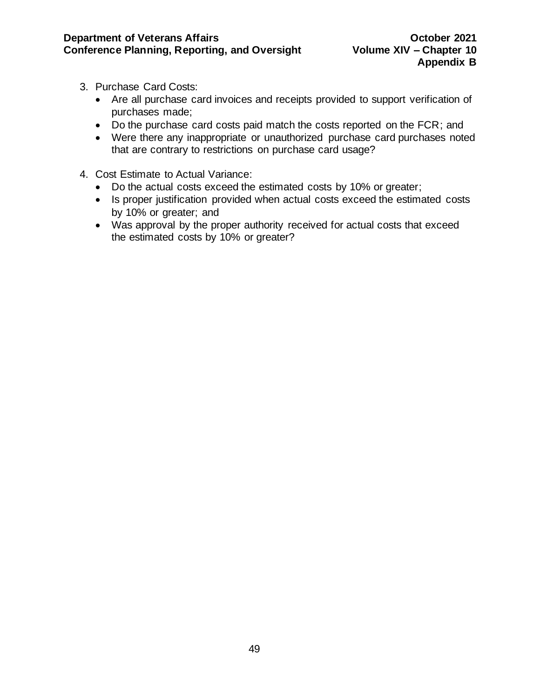- 3. Purchase Card Costs:
	- Are all purchase card invoices and receipts provided to support verification of purchases made;
	- Do the purchase card costs paid match the costs reported on the FCR; and
	- Were there any inappropriate or unauthorized purchase card purchases noted that are contrary to restrictions on purchase card usage?
- 4. Cost Estimate to Actual Variance:
	- Do the actual costs exceed the estimated costs by 10% or greater;
	- Is proper justification provided when actual costs exceed the estimated costs by 10% or greater; and
	- Was approval by the proper authority received for actual costs that exceed the estimated costs by 10% or greater?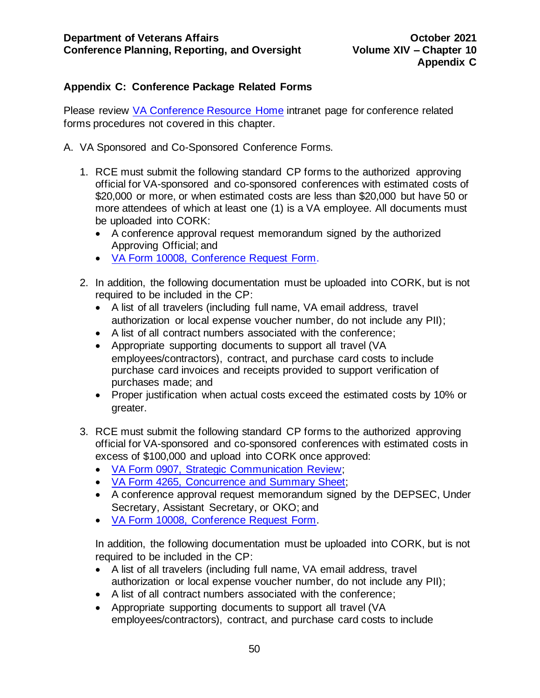# <span id="page-50-0"></span>**Appendix C: Conference Package Related Forms**

Please review [VA Conference Resource Home](http://vaww.trainingevents.va.gov/index.asp) intranet page for conference related forms procedures not covered in this chapter.

- A. VA Sponsored and Co-Sponsored Conference Forms.
	- 1. RCE must submit the following standard CP forms to the authorized approving official for VA-sponsored and co-sponsored conferences with estimated costs of \$20,000 or more, or when estimated costs are less than \$20,000 but have 50 or more attendees of which at least one (1) is a VA employee. All documents must be uploaded into CORK:
		- A conference approval request memorandum signed by the authorized Approving Official; and
		- [VA Form 10008,](http://vaww.va.gov/vaforms/va/pdf/VA10008.pdf) Conference Request Form.
	- 2. In addition, the following documentation must be uploaded into CORK, but is not required to be included in the CP:
		- A list of all travelers (including full name, VA email address, travel authorization or local expense voucher number, do not include any PII);
		- A list of all contract numbers associated with the conference;
		- Appropriate supporting documents to support all travel (VA employees/contractors), contract, and purchase card costs to include purchase card invoices and receipts provided to support verification of purchases made; and
		- Proper justification when actual costs exceed the estimated costs by 10% or greater.
	- 3. RCE must submit the following standard CP forms to the authorized approving official for VA-sponsored and co-sponsored conferences with estimated costs in excess of \$100,000 and upload into CORK once approved:
		- [VA Form 0907, Strategic Communication Review;](http://vaww.va.gov/vaforms/va/pdf/VA0907.pdf)
		- [VA Form 4265, Concurrence and Summary Sheet;](http://vaww.va.gov/vaforms/va/pdf/VA4265.pdf)
		- A conference approval request memorandum signed by the DEPSEC, Under Secretary, Assistant Secretary, or OKO; and
		- [VA Form 10008,](http://vaww.va.gov/vaforms/va/pdf/VA10008.pdf) Conference Request Form.

In addition, the following documentation must be uploaded into CORK, but is not required to be included in the CP:

- A list of all travelers (including full name, VA email address, travel authorization or local expense voucher number, do not include any PII);
- A list of all contract numbers associated with the conference;
- Appropriate supporting documents to support all travel (VA employees/contractors), contract, and purchase card costs to include